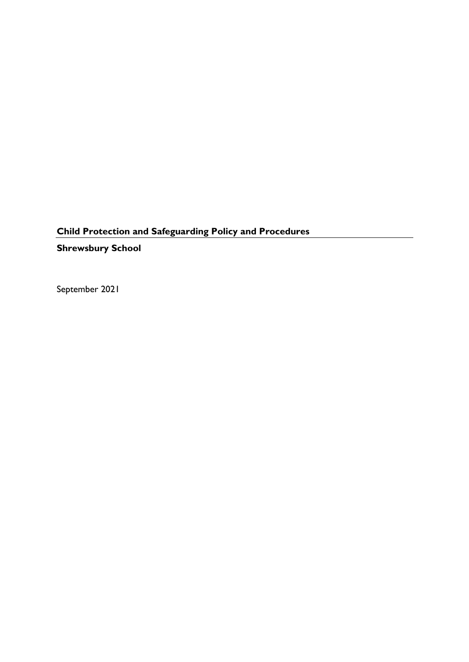# **Child Protection and Safeguarding Policy and Procedures**

**Shrewsbury School**

September 2021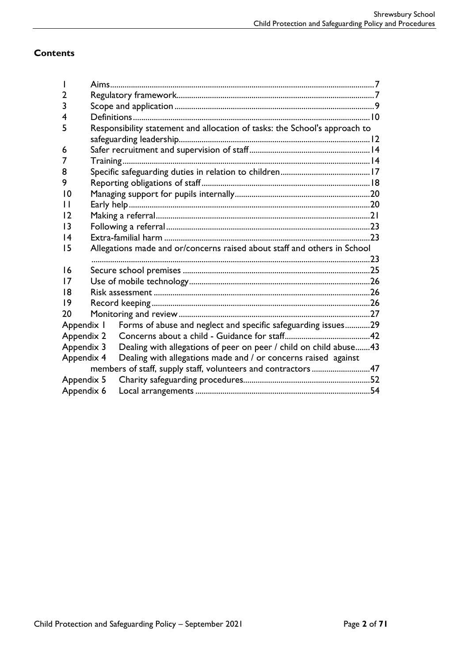# **Contents**

| 2               |                                                                            |  |
|-----------------|----------------------------------------------------------------------------|--|
| 3               |                                                                            |  |
| 4               |                                                                            |  |
| 5               | Responsibility statement and allocation of tasks: the School's approach to |  |
|                 |                                                                            |  |
| 6               |                                                                            |  |
| 7               |                                                                            |  |
| 8               |                                                                            |  |
| 9               |                                                                            |  |
| 10              |                                                                            |  |
| $\mathbf{1}$    |                                                                            |  |
| 12              |                                                                            |  |
| 3               |                                                                            |  |
| $\overline{14}$ |                                                                            |  |
| 15              | Allegations made and or/concerns raised about staff and others in School   |  |
|                 |                                                                            |  |
| 16              |                                                                            |  |
| 17              |                                                                            |  |
| 18              |                                                                            |  |
| 9               |                                                                            |  |
| 20              |                                                                            |  |
| Appendix I      | Forms of abuse and neglect and specific safeguarding issues29              |  |
| Appendix 2      |                                                                            |  |
| Appendix 3      | Dealing with allegations of peer on peer / child on child abuse43          |  |
| Appendix 4      | Dealing with allegations made and / or concerns raised against             |  |
|                 | members of staff, supply staff, volunteers and contractors47               |  |
| Appendix 5      |                                                                            |  |
| Appendix 6      |                                                                            |  |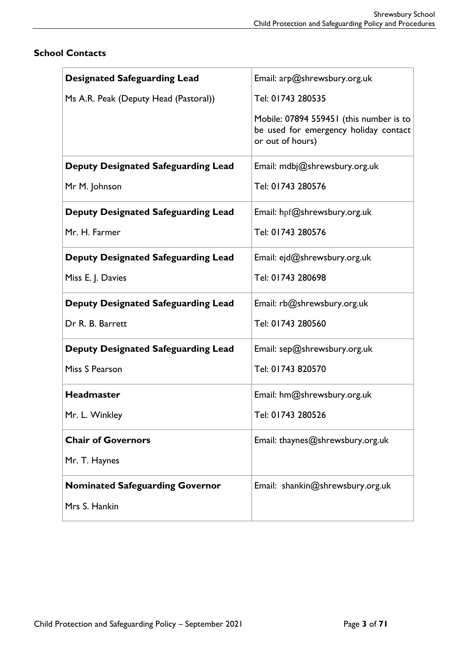# **School Contacts**

| <b>Designated Safeguarding Lead</b>        | Email: arp@shrewsbury.org.uk                                                                         |
|--------------------------------------------|------------------------------------------------------------------------------------------------------|
| Ms A.R. Peak (Deputy Head (Pastoral))      | Tel: 01743 280535                                                                                    |
|                                            | Mobile: 07894 559451 (this number is to<br>be used for emergency holiday contact<br>or out of hours) |
| <b>Deputy Designated Safeguarding Lead</b> | Email: mdbj@shrewsbury.org.uk                                                                        |
| Mr M. Johnson                              | Tel: 01743 280576                                                                                    |
| <b>Deputy Designated Safeguarding Lead</b> | Email: hpf@shrewsbury.org.uk                                                                         |
| Mr. H. Farmer                              | Tel: 01743 280576                                                                                    |
| <b>Deputy Designated Safeguarding Lead</b> | Email: ejd@shrewsbury.org.uk                                                                         |
| Miss E. J. Davies                          | Tel: 01743 280698                                                                                    |
| <b>Deputy Designated Safeguarding Lead</b> | Email: rb@shrewsbury.org.uk                                                                          |
| Dr R. B. Barrett                           | Tel: 01743 280560                                                                                    |
| <b>Deputy Designated Safeguarding Lead</b> | Email: sep@shrewsbury.org.uk                                                                         |
| Miss S Pearson                             | Tel: 01743 820570                                                                                    |
| <b>Headmaster</b>                          | Email: hm@shrewsbury.org.uk                                                                          |
| Mr. L. Winkley                             | Tel: 01743 280526                                                                                    |
| <b>Chair of Governors</b>                  | Email: thaynes@shrewsbury.org.uk                                                                     |
| Mr. T. Haynes                              |                                                                                                      |
| <b>Nominated Safeguarding Governor</b>     | Email: shankin@shrewsbury.org.uk                                                                     |
| Mrs S. Hankin                              |                                                                                                      |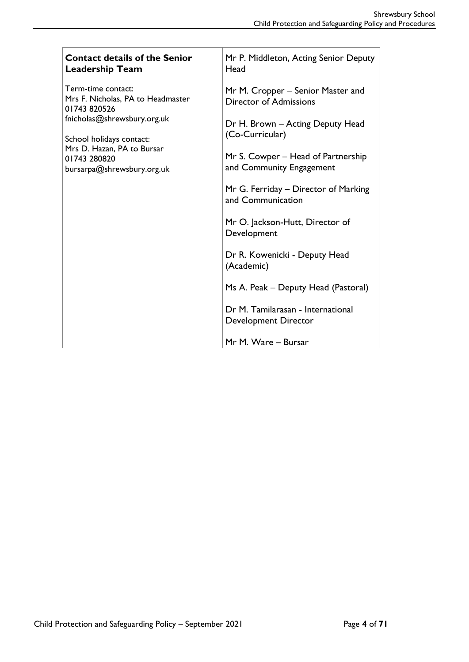| <b>Contact details of the Senior</b><br><b>Leadership Team</b>           | Mr P. Middleton, Acting Senior Deputy<br>Head                      |
|--------------------------------------------------------------------------|--------------------------------------------------------------------|
| Term-time contact:<br>Mrs F. Nicholas, PA to Headmaster<br>01743820526   | Mr M. Cropper – Senior Master and<br><b>Director of Admissions</b> |
| fnicholas@shrewsbury.org.uk<br>School holidays contact:                  | Dr H. Brown - Acting Deputy Head<br>(Co-Curricular)                |
| Mrs D. Hazan, PA to Bursar<br>01743 280820<br>bursarpa@shrewsbury.org.uk | Mr S. Cowper – Head of Partnership<br>and Community Engagement     |
|                                                                          | Mr G. Ferriday – Director of Marking<br>and Communication          |
|                                                                          | Mr O. Jackson-Hutt, Director of<br>Development                     |
|                                                                          | Dr R. Kowenicki - Deputy Head<br>(Academic)                        |
|                                                                          | Ms A. Peak – Deputy Head (Pastoral)                                |
|                                                                          | Dr M. Tamilarasan - International<br>Development Director          |
|                                                                          | Mr M. Ware - Bursar                                                |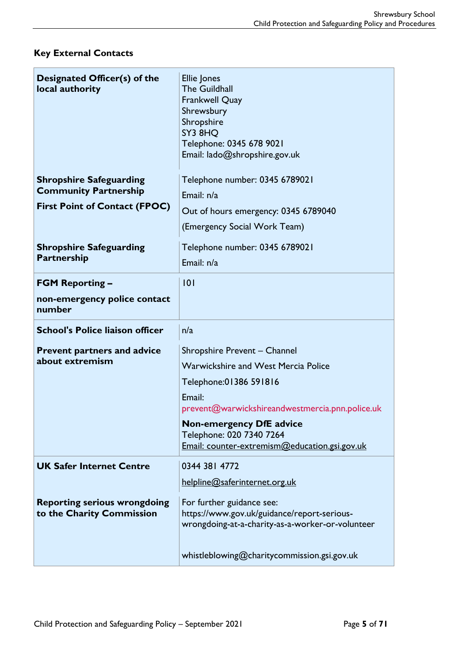# **Key External Contacts**

| Designated Officer(s) of the<br>local authority                  | Ellie Jones<br><b>The Guildhall</b><br><b>Frankwell Quay</b><br>Shrewsbury<br>Shropshire<br>SY3 8HQ<br>Telephone: 0345 678 9021<br>Email: lado@shropshire.gov.uk            |
|------------------------------------------------------------------|-----------------------------------------------------------------------------------------------------------------------------------------------------------------------------|
| <b>Shropshire Safeguarding</b><br><b>Community Partnership</b>   | Telephone number: 0345 6789021<br>Email: n/a                                                                                                                                |
| <b>First Point of Contact (FPOC)</b>                             | Out of hours emergency: 0345 6789040                                                                                                                                        |
|                                                                  | (Emergency Social Work Team)                                                                                                                                                |
| <b>Shropshire Safeguarding</b><br>Partnership                    | Telephone number: 0345 6789021<br>Email: n/a                                                                                                                                |
| <b>FGM Reporting -</b>                                           | 0                                                                                                                                                                           |
| non-emergency police contact<br>number                           |                                                                                                                                                                             |
| <b>School's Police liaison officer</b>                           | n/a                                                                                                                                                                         |
| <b>Prevent partners and advice</b><br>about extremism            | Shropshire Prevent - Channel<br><b>Warwickshire and West Mercia Police</b><br>Telephone:01386 591816<br>Email:                                                              |
|                                                                  | prevent@warwickshireandwestmercia.pnn.police.uk<br><b>Non-emergency DfE advice</b><br>Telephone: 020 7340 7264                                                              |
|                                                                  | Email: counter-extremism@education.gsi.gov.uk                                                                                                                               |
| <b>UK Safer Internet Centre</b>                                  | 0344 381 4772                                                                                                                                                               |
|                                                                  | helpline@saferinternet.org.uk                                                                                                                                               |
| <b>Reporting serious wrongdoing</b><br>to the Charity Commission | For further guidance see:<br>https://www.gov.uk/guidance/report-serious-<br>wrongdoing-at-a-charity-as-a-worker-or-volunteer<br>whistleblowing@charitycommission.gsi.gov.uk |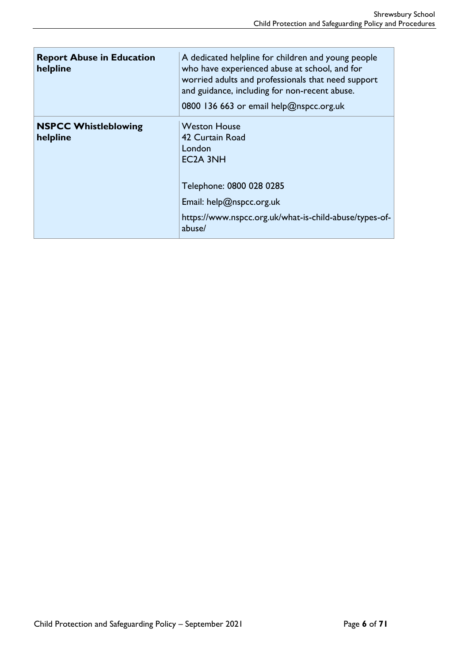| <b>Report Abuse in Education</b><br>helpline | A dedicated helpline for children and young people<br>who have experienced abuse at school, and for<br>worried adults and professionals that need support<br>and guidance, including for non-recent abuse.<br>0800 136 663 or email help@nspcc.org.uk |
|----------------------------------------------|-------------------------------------------------------------------------------------------------------------------------------------------------------------------------------------------------------------------------------------------------------|
| <b>NSPCC Whistleblowing</b><br>helpline      | <b>Weston House</b><br>42 Curtain Road<br>London<br>EC <sub>2</sub> A 3NH                                                                                                                                                                             |
|                                              | Telephone: 0800 028 0285                                                                                                                                                                                                                              |
|                                              | Email: help@nspcc.org.uk                                                                                                                                                                                                                              |
|                                              | https://www.nspcc.org.uk/what-is-child-abuse/types-of-<br>abuse/                                                                                                                                                                                      |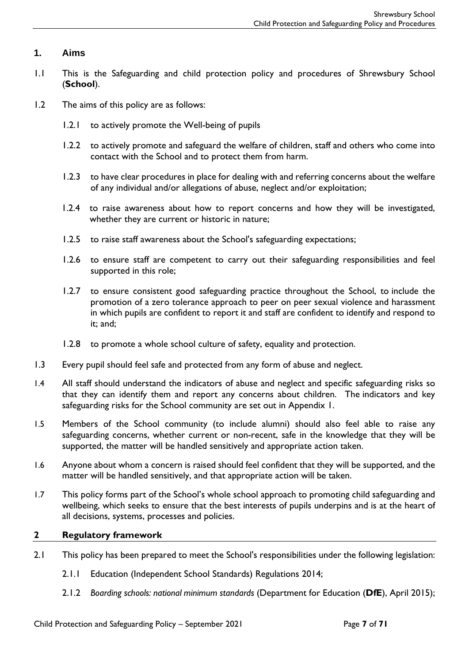## <span id="page-6-0"></span>**1. Aims**

- 1.1 This is the Safeguarding and child protection policy and procedures of Shrewsbury School (**School**).
- 1.2 The aims of this policy are as follows:
	- 1.2.1 to actively promote the Well-being of pupils
	- 1.2.2 to actively promote and safeguard the welfare of children, staff and others who come into contact with the School and to protect them from harm.
	- 1.2.3 to have clear procedures in place for dealing with and referring concerns about the welfare of any individual and/or allegations of abuse, neglect and/or exploitation;
	- 1.2.4 to raise awareness about how to report concerns and how they will be investigated, whether they are current or historic in nature;
	- 1.2.5 to raise staff awareness about the School's safeguarding expectations;
	- 1.2.6 to ensure staff are competent to carry out their safeguarding responsibilities and feel supported in this role;
	- 1.2.7 to ensure consistent good safeguarding practice throughout the School, to include the promotion of a zero tolerance approach to peer on peer sexual violence and harassment in which pupils are confident to report it and staff are confident to identify and respond to it; and;
	- 1.2.8 to promote a whole school culture of safety, equality and protection.
- 1.3 Every pupil should feel safe and protected from any form of abuse and neglect.
- 1.4 All staff should understand the indicators of abuse and neglect and specific safeguarding risks so that they can identify them and report any concerns about children. The indicators and key safeguarding risks for the School community are set out in Appendix 1.
- 1.5 Members of the School community (to include alumni) should also feel able to raise any safeguarding concerns, whether current or non-recent, safe in the knowledge that they will be supported, the matter will be handled sensitively and appropriate action taken.
- 1.6 Anyone about whom a concern is raised should feel confident that they will be supported, and the matter will be handled sensitively, and that appropriate action will be taken.
- 1.7 This policy forms part of the School's whole school approach to promoting child safeguarding and wellbeing, which seeks to ensure that the best interests of pupils underpins and is at the heart of all decisions, systems, processes and policies.

#### <span id="page-6-1"></span>**2 Regulatory framework**

- 2.1 This policy has been prepared to meet the School's responsibilities under the following legislation:
	- 2.1.1 Education (Independent School Standards) Regulations 2014;
	- 2.1.2 *Boarding schools: national minimum standards* (Department for Education (**DfE**), April 2015);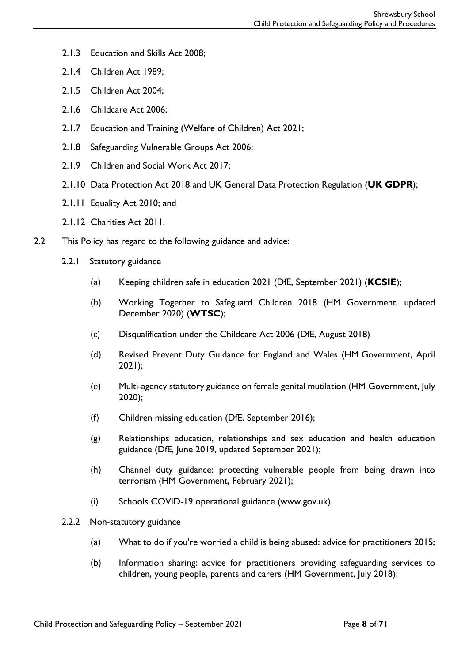- 2.1.3 Education and Skills Act 2008;
- 2.1.4 Children Act 1989;
- 2.1.5 Children Act 2004;
- 2.1.6 Childcare Act 2006;
- 2.1.7 Education and Training (Welfare of Children) Act 2021;
- 2.1.8 Safeguarding Vulnerable Groups Act 2006;
- 2.1.9 Children and Social Work Act 2017;
- 2.1.10 Data Protection Act 2018 and UK General Data Protection Regulation (**UK GDPR**);
- 2.1.11 Equality Act 2010; and
- 2.1.12 Charities Act 2011.
- 2.2 This Policy has regard to the following guidance and advice:
	- 2.2.1 Statutory guidance
		- (a) Keeping children safe in education 2021 (DfE, September 2021) (**KCSIE**);
		- (b) Working Together to Safeguard Children 2018 (HM Government, updated December 2020) (**WTSC**);
		- (c) Disqualification under the Childcare Act 2006 (DfE, August 2018)
		- (d) Revised Prevent Duty Guidance for England and Wales (HM Government, April 2021);
		- (e) Multi-agency statutory guidance on female genital mutilation (HM Government, July 2020);
		- (f) Children missing education (DfE, September 2016);
		- (g) Relationships education, relationships and sex education and health education guidance (DfE, June 2019, updated September 2021);
		- (h) Channel duty guidance: protecting vulnerable people from being drawn into terrorism (HM Government, February 2021);
		- (i) Schools COVID-19 operational guidance (www.gov.uk).

#### 2.2.2 Non-statutory guidance

- (a) What to do if you're worried a child is being abused: advice for practitioners 2015;
- (b) Information sharing: advice for practitioners providing safeguarding services to children, young people, parents and carers (HM Government, July 2018);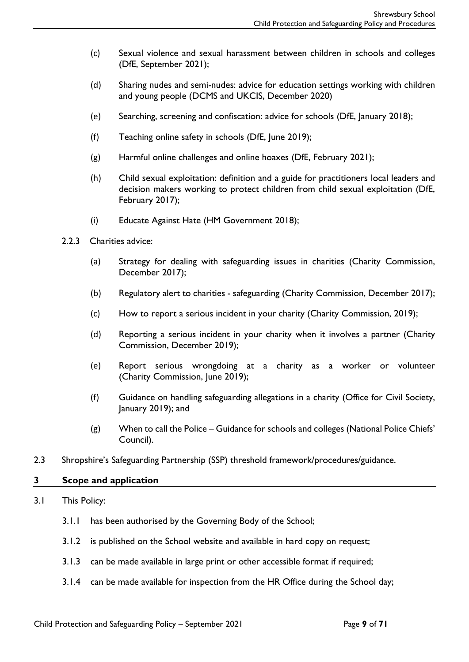- (c) Sexual violence and sexual harassment between children in schools and colleges (DfE, September 2021);
- (d) Sharing nudes and semi-nudes: advice for education settings working with children and young people (DCMS and UKCIS, December 2020)
- (e) Searching, screening and confiscation: advice for schools (DfE, January 2018);
- (f) Teaching online safety in schools (DfE, June 2019);
- (g) Harmful online challenges and online hoaxes (DfE, February 2021);
- (h) Child sexual exploitation: definition and a guide for practitioners local leaders and decision makers working to protect children from child sexual exploitation (DfE, February 2017);
- (i) Educate Against Hate (HM Government 2018);
- 2.2.3 Charities advice:
	- (a) Strategy for dealing with safeguarding issues in charities (Charity Commission, December 2017);
	- (b) Regulatory alert to charities safeguarding (Charity Commission, December 2017);
	- (c) How to report a serious incident in your charity (Charity Commission, 2019);
	- (d) Reporting a serious incident in your charity when it involves a partner (Charity Commission, December 2019);
	- (e) Report serious wrongdoing at a charity as a worker or volunteer (Charity Commission, June 2019);
	- (f) Guidance on handling safeguarding allegations in a charity (Office for Civil Society, January 2019); and
	- (g) When to call the Police Guidance for schools and colleges (National Police Chiefs' Council).
- 2.3 Shropshire's Safeguarding Partnership (SSP) threshold framework/procedures/guidance.

#### <span id="page-8-0"></span>**3 Scope and application**

#### 3.1 This Policy:

- 3.1.1 has been authorised by the Governing Body of the School;
- 3.1.2 is published on the School website and available in hard copy on request;
- 3.1.3 can be made available in large print or other accessible format if required;
- 3.1.4 can be made available for inspection from the HR Office during the School day;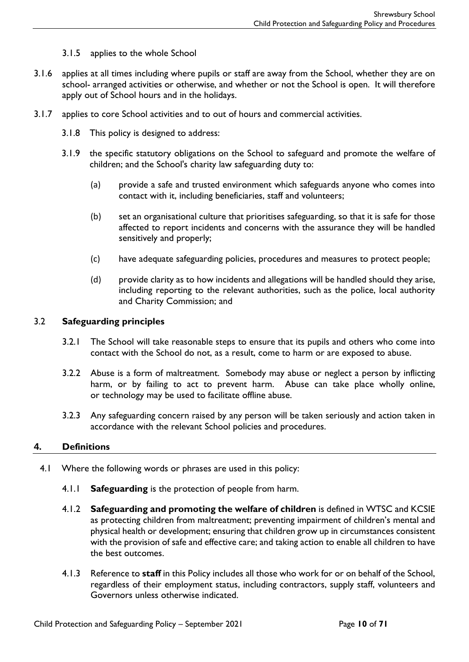- 3.1.5 applies to the whole School
- 3.1.6 applies at all times including where pupils or staff are away from the School, whether they are on school- arranged activities or otherwise, and whether or not the School is open. It will therefore apply out of School hours and in the holidays.
- 3.1.7 applies to core School activities and to out of hours and commercial activities.
	- 3.1.8 This policy is designed to address:
	- 3.1.9 the specific statutory obligations on the School to safeguard and promote the welfare of children; and the School's charity law safeguarding duty to:
		- (a) provide a safe and trusted environment which safeguards anyone who comes into contact with it, including beneficiaries, staff and volunteers;
		- (b) set an organisational culture that prioritises safeguarding, so that it is safe for those affected to report incidents and concerns with the assurance they will be handled sensitively and properly;
		- (c) have adequate safeguarding policies, procedures and measures to protect people;
		- (d) provide clarity as to how incidents and allegations will be handled should they arise, including reporting to the relevant authorities, such as the police, local authority and Charity Commission; and

#### 3.2 **Safeguarding principles**

- 3.2.1 The School will take reasonable steps to ensure that its pupils and others who come into contact with the School do not, as a result, come to harm or are exposed to abuse.
- 3.2.2 Abuse is a form of maltreatment. Somebody may abuse or neglect a person by inflicting harm, or by failing to act to prevent harm. Abuse can take place wholly online, or technology may be used to facilitate offline abuse.
- 3.2.3 Any safeguarding concern raised by any person will be taken seriously and action taken in accordance with the relevant School policies and procedures.

#### <span id="page-9-0"></span>**4. Definitions**

- 4.1 Where the following words or phrases are used in this policy:
	- 4.1.1 **Safeguarding** is the protection of people from harm.
	- 4.1.2 **Safeguarding and promoting the welfare of children** is defined in WTSC and KCSIE as protecting children from maltreatment; preventing impairment of children's mental and physical health or development; ensuring that children grow up in circumstances consistent with the provision of safe and effective care; and taking action to enable all children to have the best outcomes.
	- 4.1.3 Reference to **staff** in this Policy includes all those who work for or on behalf of the School, regardless of their employment status, including contractors, supply staff, volunteers and Governors unless otherwise indicated.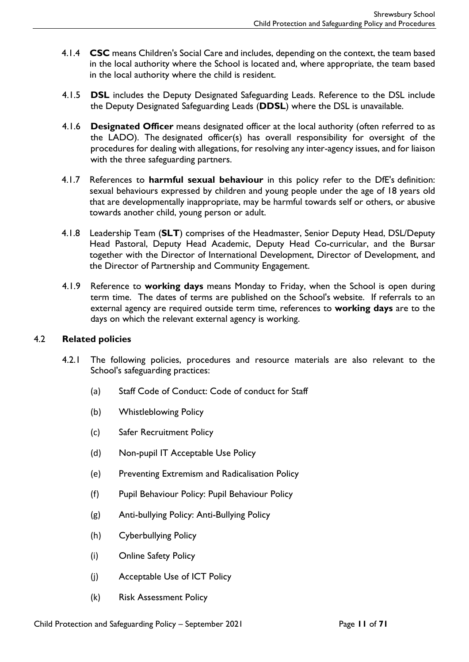- 4.1.4 **CSC** means Children's Social Care and includes, depending on the context, the team based in the local authority where the School is located and, where appropriate, the team based in the local authority where the child is resident.
- 4.1.5 **DSL** includes the Deputy Designated Safeguarding Leads. Reference to the DSL include the Deputy Designated Safeguarding Leads (**DDSL**) where the DSL is unavailable.
- 4.1.6 **Designated Officer** means designated officer at the local authority (often referred to as the LADO). The designated officer(s) has overall responsibility for oversight of the procedures for dealing with allegations, for resolving any inter-agency issues, and for liaison with the three safeguarding partners.
- 4.1.7 References to **harmful sexual behaviour** in this policy refer to the DfE's definition: sexual behaviours expressed by children and young people under the age of 18 years old that are developmentally inappropriate, may be harmful towards self or others, or abusive towards another child, young person or adult.
- 4.1.8 Leadership Team (**SLT**) comprises of the Headmaster, Senior Deputy Head, DSL/Deputy Head Pastoral, Deputy Head Academic, Deputy Head Co-curricular, and the Bursar together with the Director of International Development, Director of Development, and the Director of Partnership and Community Engagement.
- 4.1.9 Reference to **working days** means Monday to Friday, when the School is open during term time. The dates of terms are published on the School's website. If referrals to an external agency are required outside term time, references to **working days** are to the days on which the relevant external agency is working.

#### 4.2 **Related policies**

- 4.2.1 The following policies, procedures and resource materials are also relevant to the School's safeguarding practices:
	- (a) Staff Code of Conduct: Code of conduct for Staff
	- (b) Whistleblowing Policy
	- (c) Safer Recruitment Policy
	- (d) Non-pupil IT Acceptable Use Policy
	- (e) Preventing Extremism and Radicalisation Policy
	- (f) Pupil Behaviour Policy: Pupil Behaviour Policy
	- (g) Anti-bullying Policy: Anti-Bullying Policy
	- (h) Cyberbullying Policy
	- (i) Online Safety Policy
	- (j) Acceptable Use of ICT Policy
	- (k) Risk Assessment Policy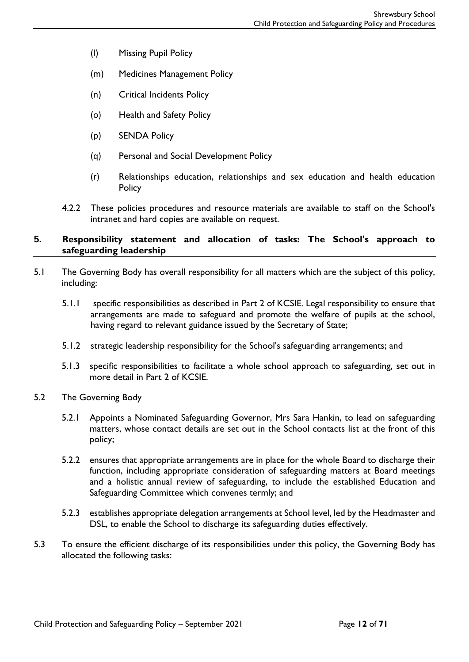- (l) Missing Pupil Policy
- (m) Medicines Management Policy
- (n) Critical Incidents Policy
- (o) Health and Safety Policy
- (p) SENDA Policy
- (q) Personal and Social Development Policy
- (r) Relationships education, relationships and sex education and health education Policy
- 4.2.2 These policies procedures and resource materials are available to staff on the School's intranet and hard copies are available on request.

#### <span id="page-11-0"></span>**5. Responsibility statement and allocation of tasks: The School's approach to safeguarding leadership**

- 5.1 The Governing Body has overall responsibility for all matters which are the subject of this policy, including:
	- 5.1.1 specific responsibilities as described in Part 2 of KCSIE. Legal responsibility to ensure that arrangements are made to safeguard and promote the welfare of pupils at the school, having regard to relevant guidance issued by the Secretary of State;
	- 5.1.2 strategic leadership responsibility for the School's safeguarding arrangements; and
	- 5.1.3 specific responsibilities to facilitate a whole school approach to safeguarding, set out in more detail in Part 2 of KCSIE.
- 5.2 The Governing Body
	- 5.2.1 Appoints a Nominated Safeguarding Governor, Mrs Sara Hankin, to lead on safeguarding matters, whose contact details are set out in the School contacts list at the front of this policy;
	- 5.2.2 ensures that appropriate arrangements are in place for the whole Board to discharge their function, including appropriate consideration of safeguarding matters at Board meetings and a holistic annual review of safeguarding, to include the established Education and Safeguarding Committee which convenes termly; and
	- 5.2.3 establishes appropriate delegation arrangements at School level, led by the Headmaster and DSL, to enable the School to discharge its safeguarding duties effectively.
- 5.3 To ensure the efficient discharge of its responsibilities under this policy, the Governing Body has allocated the following tasks: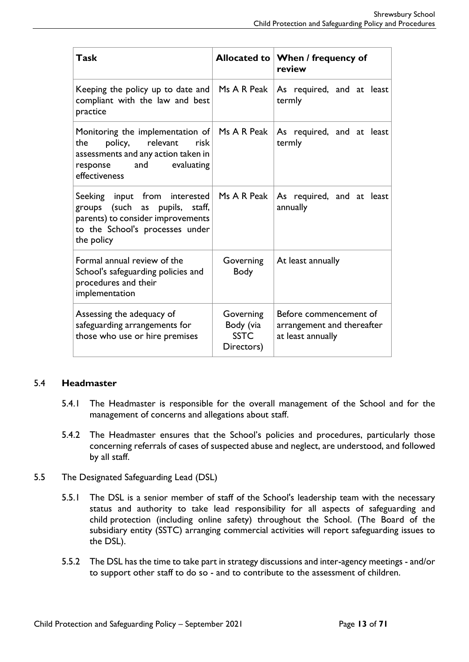| Task                                                                                                                                                     |                                                     | Allocated to   When / frequency of<br>review                              |
|----------------------------------------------------------------------------------------------------------------------------------------------------------|-----------------------------------------------------|---------------------------------------------------------------------------|
| Keeping the policy up to date and<br>compliant with the law and best<br>practice                                                                         | Ms A R Peak                                         | As required, and at least<br>termly                                       |
| Monitoring the implementation of<br>policy, relevant<br>the<br>risk<br>assessments and any action taken in<br>response and evaluating<br>effectiveness   | Ms A R Peak                                         | As required, and at least<br>termly                                       |
| Seeking<br>input from interested<br>groups (such as pupils, staff,<br>parents) to consider improvements<br>to the School's processes under<br>the policy | Ms A R Peak                                         | As required, and at least<br>annually                                     |
| Formal annual review of the<br>School's safeguarding policies and<br>procedures and their<br>implementation                                              | Governing<br><b>Body</b>                            | At least annually                                                         |
| Assessing the adequacy of<br>safeguarding arrangements for<br>those who use or hire premises                                                             | Governing<br>Body (via<br><b>SSTC</b><br>Directors) | Before commencement of<br>arrangement and thereafter<br>at least annually |

#### 5.4 **Headmaster**

- 5.4.1 The Headmaster is responsible for the overall management of the School and for the management of concerns and allegations about staff.
- 5.4.2 The Headmaster ensures that the School's policies and procedures, particularly those concerning referrals of cases of suspected abuse and neglect, are understood, and followed by all staff.
- 5.5 The Designated Safeguarding Lead (DSL)
	- 5.5.1 The DSL is a senior member of staff of the School's leadership team with the necessary status and authority to take lead responsibility for all aspects of safeguarding and child protection (including online safety) throughout the School. (The Board of the subsidiary entity (SSTC) arranging commercial activities will report safeguarding issues to the DSL).
	- 5.5.2 The DSL has the time to take part in strategy discussions and inter-agency meetings and/or to support other staff to do so - and to contribute to the assessment of children.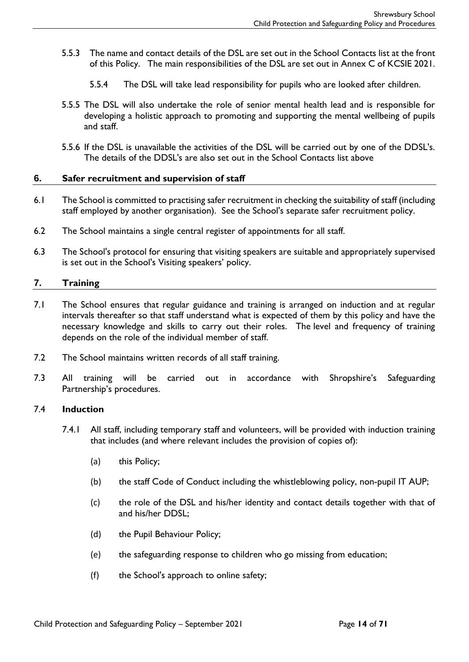- 5.5.3 The name and contact details of the DSL are set out in the School Contacts list at the front of this Policy. The main responsibilities of the DSL are set out in Annex C of KCSIE 2021.
	- 5.5.4 The DSL will take lead responsibility for pupils who are looked after children.
- 5.5.5 The DSL will also undertake the role of senior mental health lead and is responsible for developing a holistic approach to promoting and supporting the mental wellbeing of pupils and staff.
- 5.5.6 If the DSL is unavailable the activities of the DSL will be carried out by one of the DDSL's. The details of the DDSL's are also set out in the School Contacts list above

#### <span id="page-13-0"></span>**6. Safer recruitment and supervision of staff**

- 6.1 The School is committed to practising safer recruitment in checking the suitability of staff (including staff employed by another organisation). See the School's separate safer recruitment policy.
- 6.2 The School maintains a single central register of appointments for all staff.
- 6.3 The School's protocol for ensuring that visiting speakers are suitable and appropriately supervised is set out in the School's Visiting speakers' policy.

#### <span id="page-13-1"></span>**7. Training**

- 7.1 The School ensures that regular guidance and training is arranged on induction and at regular intervals thereafter so that staff understand what is expected of them by this policy and have the necessary knowledge and skills to carry out their roles. The level and frequency of training depends on the role of the individual member of staff.
- 7.2 The School maintains written records of all staff training.
- 7.3 All training will be carried out in accordance with Shropshire's Safeguarding Partnership's procedures.

#### 7.4 **Induction**

- 7.4.1 All staff, including temporary staff and volunteers, will be provided with induction training that includes (and where relevant includes the provision of copies of):
	- (a) this Policy;
	- (b) the staff Code of Conduct including the whistleblowing policy, non-pupil IT AUP;
	- (c) the role of the DSL and his/her identity and contact details together with that of and his/her DDSL;
	- (d) the Pupil Behaviour Policy;
	- (e) the safeguarding response to children who go missing from education;
	- (f) the School's approach to online safety;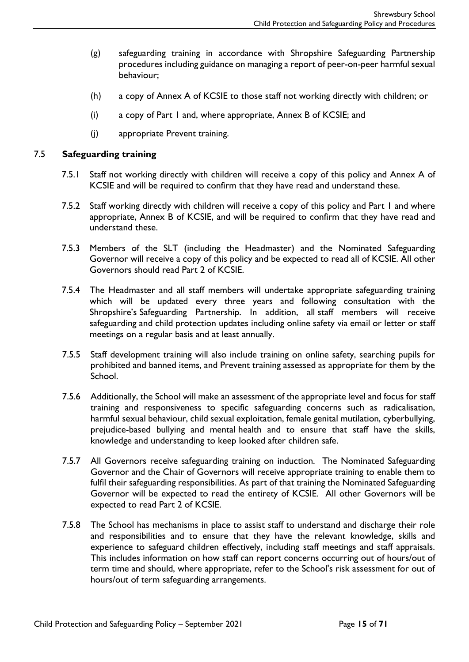- (g) safeguarding training in accordance with Shropshire Safeguarding Partnership procedures including guidance on managing a report of peer-on-peer harmful sexual behaviour;
- (h) a copy of Annex A of KCSIE to those staff not working directly with children; or
- (i) a copy of Part 1 and, where appropriate, Annex B of KCSIE; and
- (j) appropriate Prevent training.

#### 7.5 **Safeguarding training**

- 7.5.1 Staff not working directly with children will receive a copy of this policy and Annex A of KCSIE and will be required to confirm that they have read and understand these.
- 7.5.2 Staff working directly with children will receive a copy of this policy and Part 1 and where appropriate, Annex B of KCSIE, and will be required to confirm that they have read and understand these.
- 7.5.3 Members of the SLT (including the Headmaster) and the Nominated Safeguarding Governor will receive a copy of this policy and be expected to read all of KCSIE. All other Governors should read Part 2 of KCSIE.
- 7.5.4 The Headmaster and all staff members will undertake appropriate safeguarding training which will be updated every three years and following consultation with the Shropshire's Safeguarding Partnership. In addition, all staff members will receive safeguarding and child protection updates including online safety via email or letter or staff meetings on a regular basis and at least annually.
- 7.5.5 Staff development training will also include training on online safety, searching pupils for prohibited and banned items, and Prevent training assessed as appropriate for them by the School.
- 7.5.6 Additionally, the School will make an assessment of the appropriate level and focus for staff training and responsiveness to specific safeguarding concerns such as radicalisation, harmful sexual behaviour, child sexual exploitation, female genital mutilation, cyberbullying, prejudice-based bullying and mental health and to ensure that staff have the skills, knowledge and understanding to keep looked after children safe.
- 7.5.7 All Governors receive safeguarding training on induction. The Nominated Safeguarding Governor and the Chair of Governors will receive appropriate training to enable them to fulfil their safeguarding responsibilities. As part of that training the Nominated Safeguarding Governor will be expected to read the entirety of KCSIE. All other Governors will be expected to read Part 2 of KCSIE.
- 7.5.8 The School has mechanisms in place to assist staff to understand and discharge their role and responsibilities and to ensure that they have the relevant knowledge, skills and experience to safeguard children effectively, including staff meetings and staff appraisals. This includes information on how staff can report concerns occurring out of hours/out of term time and should, where appropriate, refer to the School's risk assessment for out of hours/out of term safeguarding arrangements.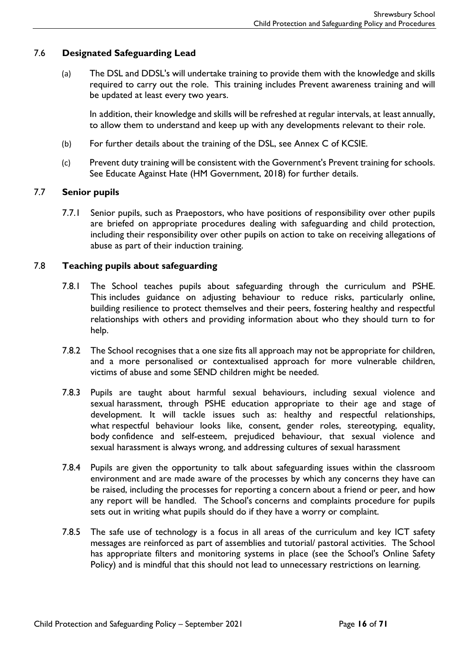# 7.6 **Designated Safeguarding Lead**

(a) The DSL and DDSL's will undertake training to provide them with the knowledge and skills required to carry out the role. This training includes Prevent awareness training and will be updated at least every two years.

In addition, their knowledge and skills will be refreshed at regular intervals, at least annually, to allow them to understand and keep up with any developments relevant to their role.

- (b) For further details about the training of the DSL, see Annex C of KCSIE.
- (c) Prevent duty training will be consistent with the Government's Prevent training for schools. See Educate Against Hate (HM Government, 2018) for further details.

#### 7.7 **Senior pupils**

7.7.1 Senior pupils, such as Praepostors, who have positions of responsibility over other pupils are briefed on appropriate procedures dealing with safeguarding and child protection, including their responsibility over other pupils on action to take on receiving allegations of abuse as part of their induction training.

#### 7.8 **Teaching pupils about safeguarding**

- 7.8.1 The School teaches pupils about safeguarding through the curriculum and PSHE. This includes guidance on adjusting behaviour to reduce risks, particularly online, building resilience to protect themselves and their peers, fostering healthy and respectful relationships with others and providing information about who they should turn to for help.
- 7.8.2 The School recognises that a one size fits all approach may not be appropriate for children, and a more personalised or contextualised approach for more vulnerable children, victims of abuse and some SEND children might be needed.
- 7.8.3 Pupils are taught about harmful sexual behaviours, including sexual violence and sexual harassment, through PSHE education appropriate to their age and stage of development. It will tackle issues such as: healthy and respectful relationships, what respectful behaviour looks like, consent, gender roles, stereotyping, equality, body confidence and self-esteem, prejudiced behaviour, that sexual violence and sexual harassment is always wrong, and addressing cultures of sexual harassment
- 7.8.4 Pupils are given the opportunity to talk about safeguarding issues within the classroom environment and are made aware of the processes by which any concerns they have can be raised, including the processes for reporting a concern about a friend or peer, and how any report will be handled. The School's concerns and complaints procedure for pupils sets out in writing what pupils should do if they have a worry or complaint.
- 7.8.5 The safe use of technology is a focus in all areas of the curriculum and key ICT safety messages are reinforced as part of assemblies and tutorial/ pastoral activities. The School has appropriate filters and monitoring systems in place (see the School's Online Safety Policy) and is mindful that this should not lead to unnecessary restrictions on learning.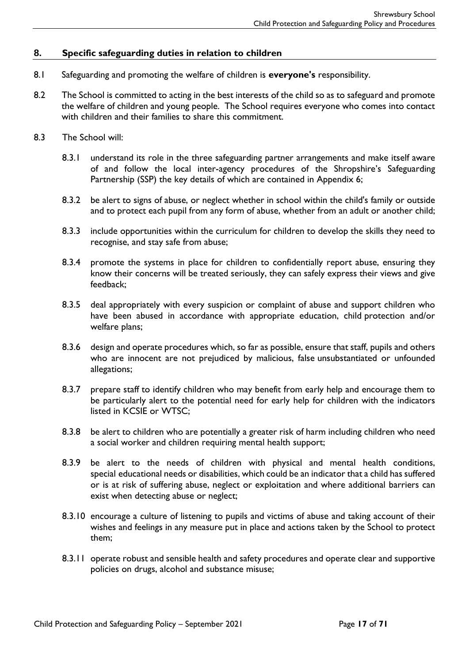## <span id="page-16-0"></span>**8. Specific safeguarding duties in relation to children**

- 8.1 Safeguarding and promoting the welfare of children is **everyone's** responsibility.
- 8.2 The School is committed to acting in the best interests of the child so as to safeguard and promote the welfare of children and young people. The School requires everyone who comes into contact with children and their families to share this commitment.
- 8.3 The School will:
	- 8.3.1 understand its role in the three safeguarding partner arrangements and make itself aware of and follow the local inter-agency procedures of the Shropshire's Safeguarding Partnership (SSP) the key details of which are contained in Appendix 6;
	- 8.3.2 be alert to signs of abuse, or neglect whether in school within the child's family or outside and to protect each pupil from any form of abuse, whether from an adult or another child;
	- 8.3.3 include opportunities within the curriculum for children to develop the skills they need to recognise, and stay safe from abuse;
	- 8.3.4 promote the systems in place for children to confidentially report abuse, ensuring they know their concerns will be treated seriously, they can safely express their views and give feedback;
	- 8.3.5 deal appropriately with every suspicion or complaint of abuse and support children who have been abused in accordance with appropriate education, child protection and/or welfare plans;
	- 8.3.6 design and operate procedures which, so far as possible, ensure that staff, pupils and others who are innocent are not prejudiced by malicious, false unsubstantiated or unfounded allegations;
	- 8.3.7 prepare staff to identify children who may benefit from early help and encourage them to be particularly alert to the potential need for early help for children with the indicators listed in KCSIE or WTSC;
	- 8.3.8 be alert to children who are potentially a greater risk of harm including children who need a social worker and children requiring mental health support;
	- 8.3.9 be alert to the needs of children with physical and mental health conditions, special educational needs or disabilities, which could be an indicator that a child has suffered or is at risk of suffering abuse, neglect or exploitation and where additional barriers can exist when detecting abuse or neglect;
	- 8.3.10 encourage a culture of listening to pupils and victims of abuse and taking account of their wishes and feelings in any measure put in place and actions taken by the School to protect them;
	- 8.3.11 operate robust and sensible health and safety procedures and operate clear and supportive policies on drugs, alcohol and substance misuse;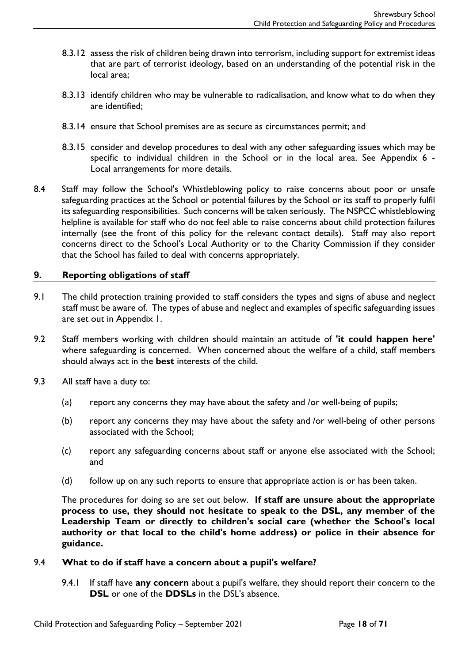- 8.3.12 assess the risk of children being drawn into terrorism, including support for extremist ideas that are part of terrorist ideology, based on an understanding of the potential risk in the local area;
- 8.3.13 identify children who may be vulnerable to radicalisation, and know what to do when they are identified;
- 8.3.14 ensure that School premises are as secure as circumstances permit; and
- 8.3.15 consider and develop procedures to deal with any other safeguarding issues which may be specific to individual children in the School or in the local area. See Appendix 6 - Local arrangements for more details.
- 8.4 Staff may follow the School's Whistleblowing policy to raise concerns about poor or unsafe safeguarding practices at the School or potential failures by the School or its staff to properly fulfil its safeguarding responsibilities. Such concerns will be taken seriously. The NSPCC whistleblowing helpline is available for staff who do not feel able to raise concerns about child protection failures internally (see the front of this policy for the relevant contact details). Staff may also report concerns direct to the School's Local Authority or to the Charity Commission if they consider that the School has failed to deal with concerns appropriately.

#### <span id="page-17-0"></span>**9. Reporting obligations of staff**

- 9.1 The child protection training provided to staff considers the types and signs of abuse and neglect staff must be aware of. The types of abuse and neglect and examples of specific safeguarding issues are set out in [Appendix 1.](#page-28-0)
- 9.2 Staff members working with children should maintain an attitude of **'it could happen here'** where safeguarding is concerned. When concerned about the welfare of a child, staff members should always act in the **best** interests of the child.
- 9.3 All staff have a duty to:
	- (a) report any concerns they may have about the safety and /or well-being of pupils;
	- (b) report any concerns they may have about the safety and /or well-being of other persons associated with the School;
	- (c) report any safeguarding concerns about staff or anyone else associated with the School; and
	- (d) follow up on any such reports to ensure that appropriate action is or has been taken.

The procedures for doing so are set out below. **If staff are unsure about the appropriate process to use, they should not hesitate to speak to the DSL, any member of the Leadership Team or directly to children's social care (whether the School's local authority or that local to the child's home address) or police in their absence for guidance.**

#### 9.4 **What to do if staff have a concern about a pupil's welfare?**

9.4.1 If staff have **any concern** about a pupil's welfare, they should report their concern to the **DSL** or one of the **DDSLs** in the DSL's absence.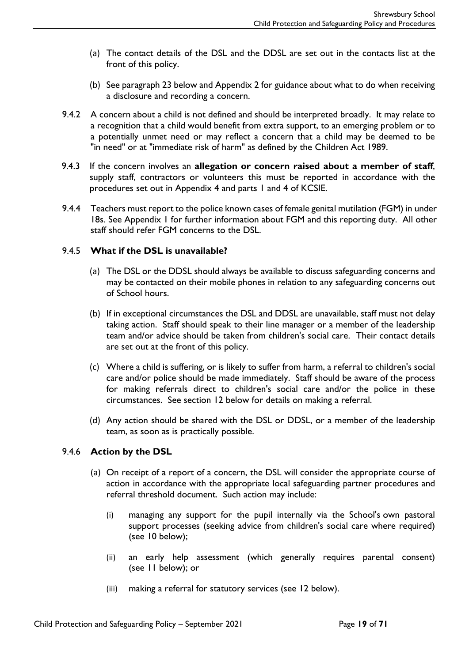- (a) The contact details of the DSL and the DDSL are set out in the contacts list at the front of this policy.
- (b) See paragraph 23 below and Appendix 2 for guidance about what to do when receiving a disclosure and recording a concern.
- 9.4.2 A concern about a child is not defined and should be interpreted broadly. It may relate to a recognition that a child would benefit from extra support, to an emerging problem or to a potentially unmet need or may reflect a concern that a child may be deemed to be "in need" or at "immediate risk of harm" as defined by the Children Act 1989.
- 9.4.3 If the concern involves an **allegation or concern raised about a member of staff**, supply staff, contractors or volunteers this must be reported in accordance with the procedures set out in Appendix 4 and parts 1 and 4 of KCSIE.
- 9.4.4 Teachers must report to the police known cases of female genital mutilation (FGM) in under 18s. See [Appendix 1](#page-28-0) for further information about FGM and this reporting duty. All other staff should refer FGM concerns to the DSL.

#### 9.4.5 **What if the DSL is unavailable?**

- (a) The DSL or the DDSL should always be available to discuss safeguarding concerns and may be contacted on their mobile phones in relation to any safeguarding concerns out of School hours.
- (b) If in exceptional circumstances the DSL and DDSL are unavailable, staff must not delay taking action. Staff should speak to their line manager or a member of the leadership team and/or advice should be taken from children's social care. Their contact details are set out at the front of this policy.
- (c) Where a child is suffering, or is likely to suffer from harm, a referral to children's social care and/or police should be made immediately. Staff should be aware of the process for making referrals direct to children's social care and/or the police in these circumstances. See section 12 below for details on making a referral.
- (d) Any action should be shared with the DSL or DDSL, or a member of the leadership team, as soon as is practically possible.

#### 9.4.6 **Action by the DSL**

- (a) On receipt of a report of a concern, the DSL will consider the appropriate course of action in accordance with the appropriate local safeguarding partner procedures and referral threshold document. Such action may include:
	- (i) managing any support for the pupil internally via the School's own pastoral support processes (seeking advice from children's social care where required) (see 10 below);
	- (ii) an early help assessment (which generally requires parental consent) (see 11 below); or
	- (iii) making a referral for statutory services (see 12 below).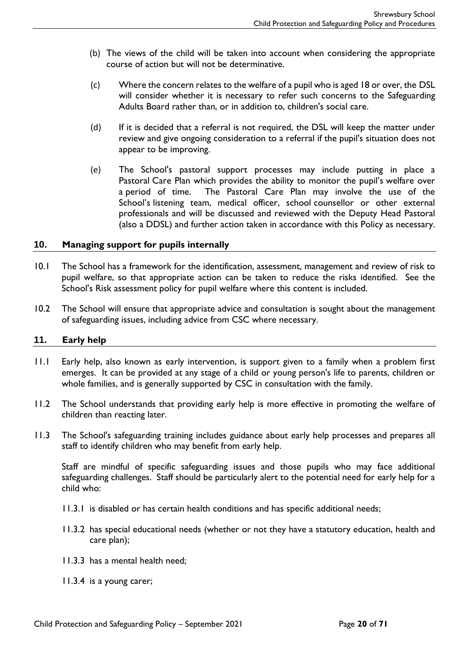- (b) The views of the child will be taken into account when considering the appropriate course of action but will not be determinative.
- (c) Where the concern relates to the welfare of a pupil who is aged 18 or over, the DSL will consider whether it is necessary to refer such concerns to the Safeguarding Adults Board rather than, or in addition to, children's social care.
- (d) If it is decided that a referral is not required, the DSL will keep the matter under review and give ongoing consideration to a referral if the pupil's situation does not appear to be improving.
- (e) The School's pastoral support processes may include putting in place a Pastoral Care Plan which provides the ability to monitor the pupil's welfare over a period of time. The Pastoral Care Plan may involve the use of the School's listening team, medical officer, school counsellor or other external professionals and will be discussed and reviewed with the Deputy Head Pastoral (also a DDSL) and further action taken in accordance with this Policy as necessary.

#### <span id="page-19-0"></span>**10. Managing support for pupils internally**

- 10.1 The School has a framework for the identification, assessment, management and review of risk to pupil welfare, so that appropriate action can be taken to reduce the risks identified. See the School's Risk assessment policy for pupil welfare where this content is included.
- 10.2 The School will ensure that appropriate advice and consultation is sought about the management of safeguarding issues, including advice from CSC where necessary.

#### <span id="page-19-1"></span>**11. Early help**

- 11.1 Early help, also known as early intervention, is support given to a family when a problem first emerges. It can be provided at any stage of a child or young person's life to parents, children or whole families, and is generally supported by CSC in consultation with the family.
- 11.2 The School understands that providing early help is more effective in promoting the welfare of children than reacting later.
- 11.3 The School's safeguarding training includes guidance about early help processes and prepares all staff to identify children who may benefit from early help.

Staff are mindful of specific safeguarding issues and those pupils who may face additional safeguarding challenges. Staff should be particularly alert to the potential need for early help for a child who:

- 11.3.1 is disabled or has certain health conditions and has specific additional needs;
- 11.3.2 has special educational needs (whether or not they have a statutory education, health and care plan);
- 11.3.3 has a mental health need;
- 11.3.4 is a young carer;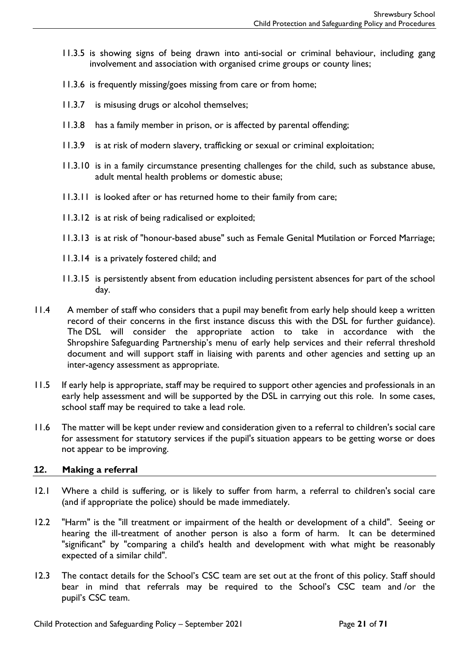- 11.3.5 is showing signs of being drawn into anti-social or criminal behaviour, including gang involvement and association with organised crime groups or county lines;
- 11.3.6 is frequently missing/goes missing from care or from home;
- 11.3.7 is misusing drugs or alcohol themselves;
- 11.3.8 has a family member in prison, or is affected by parental offending;
- 11.3.9 is at risk of modern slavery, trafficking or sexual or criminal exploitation;
- 11.3.10 is in a family circumstance presenting challenges for the child, such as substance abuse, adult mental health problems or domestic abuse;
- 11.3.11 is looked after or has returned home to their family from care;
- 11.3.12 is at risk of being radicalised or exploited;
- 11.3.13 is at risk of "honour-based abuse" such as Female Genital Mutilation or Forced Marriage;
- 11.3.14 is a privately fostered child; and
- 11.3.15 is persistently absent from education including persistent absences for part of the school day.
- 11.4 A member of staff who considers that a pupil may benefit from early help should keep a written record of their concerns in the first instance discuss this with the DSL for further guidance). The DSL will consider the appropriate action to take in accordance with the Shropshire Safeguarding Partnership's menu of early help services and their referral threshold document and will support staff in liaising with parents and other agencies and setting up an inter-agency assessment as appropriate.
- 11.5 If early help is appropriate, staff may be required to support other agencies and professionals in an early help assessment and will be supported by the DSL in carrying out this role. In some cases, school staff may be required to take a lead role.
- 11.6 The matter will be kept under review and consideration given to a referral to children's social care for assessment for statutory services if the pupil's situation appears to be getting worse or does not appear to be improving.

#### <span id="page-20-0"></span>**12. Making a referral**

- 12.1 Where a child is suffering, or is likely to suffer from harm, a referral to children's social care (and if appropriate the police) should be made immediately.
- 12.2 "Harm" is the "ill treatment or impairment of the health or development of a child". Seeing or hearing the ill-treatment of another person is also a form of harm. It can be determined "significant" by "comparing a child's health and development with what might be reasonably expected of a similar child".
- 12.3 The contact details for the School's CSC team are set out at the front of this policy. Staff should bear in mind that referrals may be required to the School's CSC team and /or the pupil's CSC team.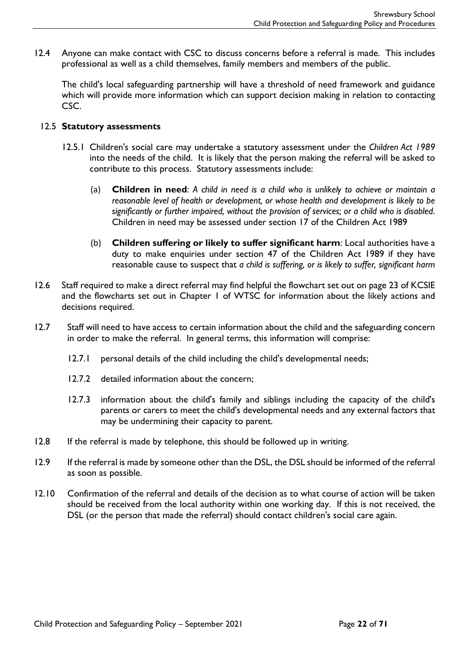12.4 Anyone can make contact with CSC to discuss concerns before a referral is made. This includes professional as well as a child themselves, family members and members of the public.

The child's local safeguarding partnership will have a threshold of need framework and guidance which will provide more information which can support decision making in relation to contacting CSC.

#### 12.5 **Statutory assessments**

- 12.5.1 Children's social care may undertake a statutory assessment under the *Children Act 1989* into the needs of the child. It is likely that the person making the referral will be asked to contribute to this process. Statutory assessments include:
	- (a) **Children in need**: *A child in need is a child who is unlikely to achieve or maintain a reasonable level of health or development, or whose health and development is likely to be significantly or further impaired, without the provision of services; or a child who is disabled*. Children in need may be assessed under section 17 of the Children Act 1989
	- (b) **Children suffering or likely to suffer significant harm**: Local authorities have a duty to make enquiries under section 47 of the Children Act 1989 if they have reasonable cause to suspect that *a child is suffering, or is likely to suffer, significant harm*
- 12.6 Staff required to make a direct referral may find helpful the flowchart set out on page 23 of KCSIE and the flowcharts set out in Chapter 1 of WTSC for information about the likely actions and decisions required.
- 12.7 Staff will need to have access to certain information about the child and the safeguarding concern in order to make the referral. In general terms, this information will comprise:
	- 12.7.1 personal details of the child including the child's developmental needs;
	- 12.7.2 detailed information about the concern;
	- 12.7.3 information about the child's family and siblings including the capacity of the child's parents or carers to meet the child's developmental needs and any external factors that may be undermining their capacity to parent.
- 12.8 If the referral is made by telephone, this should be followed up in writing.
- 12.9 If the referral is made by someone other than the DSL, the DSL should be informed of the referral as soon as possible.
- 12.10 Confirmation of the referral and details of the decision as to what course of action will be taken should be received from the local authority within one working day. If this is not received, the DSL (or the person that made the referral) should contact children's social care again.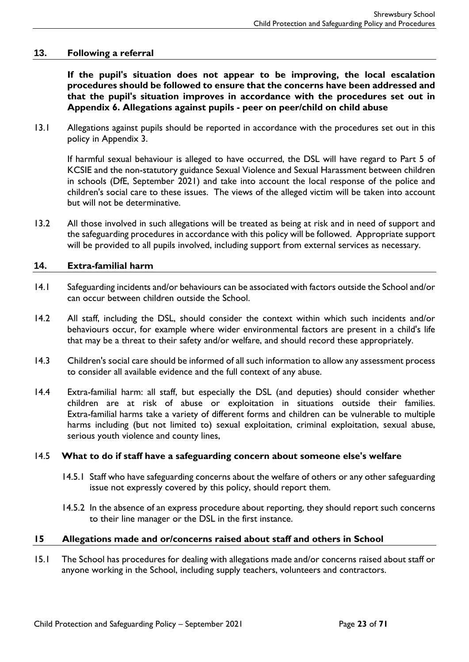#### **13. Following a referral**

<span id="page-22-0"></span>**If the pupil's situation does not appear to be improving, the local escalation procedures should be followed to ensure that the concerns have been addressed and that the pupil's situation improves in accordance with the procedures set out in Appendix 6. Allegations against pupils - peer on peer/child on child abuse**

13.1 Allegations against pupils should be reported in accordance with the procedures set out in this policy in Appendix 3.

If harmful sexual behaviour is alleged to have occurred, the DSL will have regard to Part 5 of KCSIE and the non-statutory guidance Sexual Violence and Sexual Harassment between children in schools (DfE, September 2021) and take into account the local response of the police and children's social care to these issues. The views of the alleged victim will be taken into account but will not be determinative.

13.2 All those involved in such allegations will be treated as being at risk and in need of support and the safeguarding procedures in accordance with this policy will be followed. Appropriate support will be provided to all pupils involved, including support from external services as necessary.

#### <span id="page-22-1"></span>**14. Extra-familial harm**

- 14.1 Safeguarding incidents and/or behaviours can be associated with factors outside the School and/or can occur between children outside the School.
- 14.2 All staff, including the DSL, should consider the context within which such incidents and/or behaviours occur, for example where wider environmental factors are present in a child's life that may be a threat to their safety and/or welfare, and should record these appropriately.
- 14.3 Children's social care should be informed of all such information to allow any assessment process to consider all available evidence and the full context of any abuse.
- 14.4 Extra-familial harm: all staff, but especially the DSL (and deputies) should consider whether children are at risk of abuse or exploitation in situations outside their families. Extra-familial harms take a variety of different forms and children can be vulnerable to multiple harms including (but not limited to) sexual exploitation, criminal exploitation, sexual abuse, serious youth violence and county lines,

#### 14.5 **What to do if staff have a safeguarding concern about someone else's welfare**

- 14.5.1 Staff who have safeguarding concerns about the welfare of others or any other safeguarding issue not expressly covered by this policy, should report them.
- 14.5.2 In the absence of an express procedure about reporting, they should report such concerns to their line manager or the DSL in the first instance.

#### <span id="page-22-2"></span>**15 Allegations made and or/concerns raised about staff and others in School**

15.1 The School has procedures for dealing with allegations made and/or concerns raised about staff or anyone working in the School, including supply teachers, volunteers and contractors.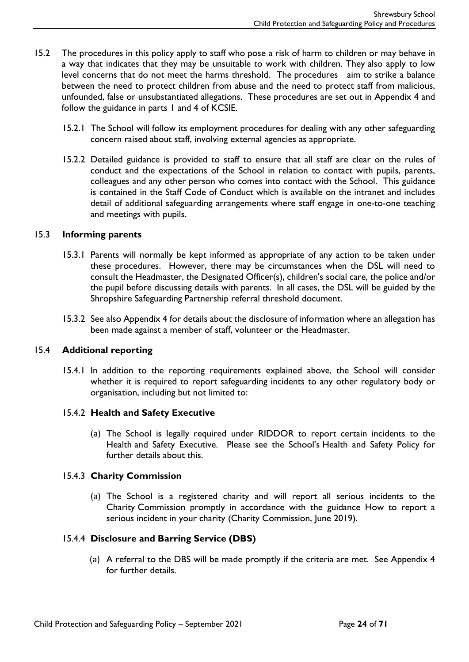- 15.2 The procedures in this policy apply to staff who pose a risk of harm to children or may behave in a way that indicates that they may be unsuitable to work with children. They also apply to low level concerns that do not meet the harms threshold. The procedures aim to strike a balance between the need to protect children from abuse and the need to protect staff from malicious, unfounded, false or unsubstantiated allegations. These procedures are set out in Appendix 4 and follow the guidance in parts 1 and 4 of KCSIE.
	- 15.2.1 The School will follow its employment procedures for dealing with any other safeguarding concern raised about staff, involving external agencies as appropriate.
	- 15.2.2 Detailed guidance is provided to staff to ensure that all staff are clear on the rules of conduct and the expectations of the School in relation to contact with pupils, parents, colleagues and any other person who comes into contact with the School. This guidance is contained in the Staff Code of Conduct which is available on the intranet and includes detail of additional safeguarding arrangements where staff engage in one-to-one teaching and meetings with pupils.

#### 15.3 **Informing parents**

- 15.3.1 Parents will normally be kept informed as appropriate of any action to be taken under these procedures. However, there may be circumstances when the DSL will need to consult the Headmaster, the Designated Officer(s), children's social care, the police and/or the pupil before discussing details with parents. In all cases, the DSL will be guided by the Shropshire Safeguarding Partnership referral threshold document.
- 15.3.2 See also Appendix 4 for details about the disclosure of information where an allegation has been made against a member of staff, volunteer or the Headmaster.

#### 15.4 **Additional reporting**

15.4.1 In addition to the reporting requirements explained above, the School will consider whether it is required to report safeguarding incidents to any other regulatory body or organisation, including but not limited to:

#### 15.4.2 **Health and Safety Executive**

(a) The School is legally required under RIDDOR to report certain incidents to the Health and Safety Executive. Please see the School's Health and Safety Policy for further details about this.

#### 15.4.3 **Charity Commission**

(a) The School is a registered charity and will report all serious incidents to the Charity Commission promptly in accordance with the guidance [How to report a](https://www.gov.uk/guidance/how-to-report-a-serious-incident-in-your-charity)  serious [incident in your charity \(Charity](https://www.gov.uk/guidance/how-to-report-a-serious-incident-in-your-charity) Commission, June 2019).

#### 15.4.4 **Disclosure and Barring Service (DBS)**

(a) A referral to the DBS will be made promptly if the criteria are met. See Appendix 4 for further details.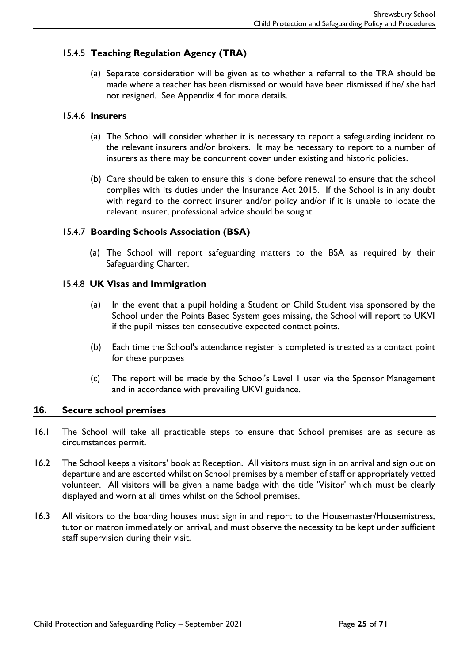# 15.4.5 **Teaching Regulation Agency (TRA)**

(a) Separate consideration will be given as to whether a referral to the TRA should be made where a teacher has been dismissed or would have been dismissed if he/ she had not resigned. See Appendix 4 for more details.

#### 15.4.6 **Insurers**

- (a) The School will consider whether it is necessary to report a safeguarding incident to the relevant insurers and/or brokers. It may be necessary to report to a number of insurers as there may be concurrent cover under existing and historic policies.
- (b) Care should be taken to ensure this is done before renewal to ensure that the school complies with its duties under the Insurance Act 2015. If the School is in any doubt with regard to the correct insurer and/or policy and/or if it is unable to locate the relevant insurer, professional advice should be sought.

#### 15.4.7 **Boarding Schools Association (BSA)**

(a) The School will report safeguarding matters to the BSA as required by their Safeguarding Charter.

#### 15.4.8 **UK Visas and Immigration**

- (a) In the event that a pupil holding a Student or Child Student visa sponsored by the School under the Points Based System goes missing, the School will report to UKVI if the pupil misses ten consecutive expected contact points.
- (b) Each time the School's attendance register is completed is treated as a contact point for these purposes
- (c) The report will be made by the School's Level 1 user via the Sponsor Management and in accordance with prevailing UKVI guidance.

#### <span id="page-24-0"></span>**16. Secure school premises**

- 16.1 The School will take all practicable steps to ensure that School premises are as secure as circumstances permit.
- 16.2 The School keeps a visitors' book at Reception. All visitors must sign in on arrival and sign out on departure and are escorted whilst on School premises by a member of staff or appropriately vetted volunteer. All visitors will be given a name badge with the title 'Visitor' which must be clearly displayed and worn at all times whilst on the School premises.
- 16.3 All visitors to the boarding houses must sign in and report to the Housemaster/Housemistress, tutor or matron immediately on arrival, and must observe the necessity to be kept under sufficient staff supervision during their visit.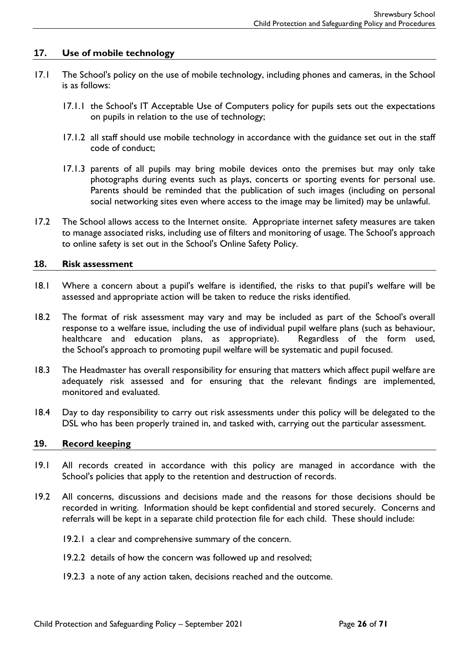#### <span id="page-25-0"></span>**17. Use of mobile technology**

- 17.1 The School's policy on the use of mobile technology, including phones and cameras, in the School is as follows:
	- 17.1.1 the School's IT Acceptable Use of Computers policy for pupils sets out the expectations on pupils in relation to the use of technology;
	- 17.1.2 all staff should use mobile technology in accordance with the guidance set out in the staff code of conduct;
	- 17.1.3 parents of all pupils may bring mobile devices onto the premises but may only take photographs during events such as plays, concerts or sporting events for personal use. Parents should be reminded that the publication of such images (including on personal social networking sites even where access to the image may be limited) may be unlawful.
- 17.2 The School allows access to the Internet onsite. Appropriate internet safety measures are taken to manage associated risks, including use of filters and monitoring of usage. The School's approach to online safety is set out in the School's Online Safety Policy.

#### <span id="page-25-1"></span>**18. Risk assessment**

- 18.1 Where a concern about a pupil's welfare is identified, the risks to that pupil's welfare will be assessed and appropriate action will be taken to reduce the risks identified.
- 18.2 The format of risk assessment may vary and may be included as part of the School's overall response to a welfare issue, including the use of individual pupil welfare plans (such as behaviour, healthcare and education plans, as appropriate). Regardless of the form used, the School's approach to promoting pupil welfare will be systematic and pupil focused.
- 18.3 The Headmaster has overall responsibility for ensuring that matters which affect pupil welfare are adequately risk assessed and for ensuring that the relevant findings are implemented, monitored and evaluated.
- 18.4 Day to day responsibility to carry out risk assessments under this policy will be delegated to the DSL who has been properly trained in, and tasked with, carrying out the particular assessment.

#### <span id="page-25-2"></span>**19. Record keeping**

- 19.1 All records created in accordance with this policy are managed in accordance with the School's policies that apply to the retention and destruction of records.
- 19.2 All concerns, discussions and decisions made and the reasons for those decisions should be recorded in writing. Information should be kept confidential and stored securely. Concerns and referrals will be kept in a separate child protection file for each child. These should include:
	- 19.2.1 a clear and comprehensive summary of the concern.
	- 19.2.2 details of how the concern was followed up and resolved;
	- 19.2.3 a note of any action taken, decisions reached and the outcome.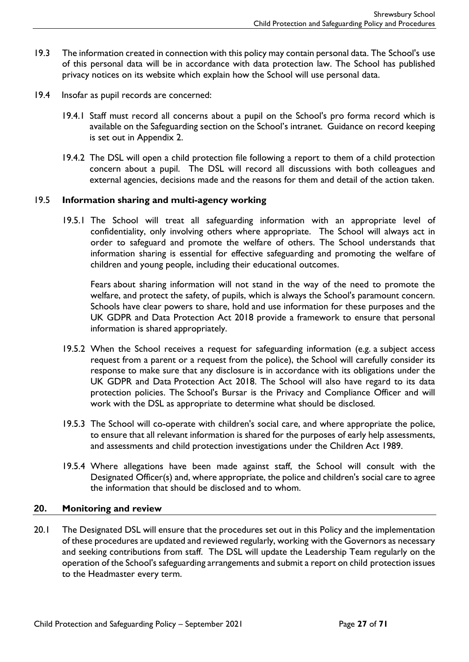- 19.3 The information created in connection with this policy may contain personal data. The School's use of this personal data will be in accordance with data protection law. The School has published privacy notices on its website which explain how the School will use personal data.
- 19.4 Insofar as pupil records are concerned:
	- 19.4.1 Staff must record all concerns about a pupil on the School's pro forma record which is available on the Safeguarding section on the School's intranet. Guidance on record keeping is set out in Appendix 2.
	- 19.4.2 The DSL will open a child protection file following a report to them of a child protection concern about a pupil. The DSL will record all discussions with both colleagues and external agencies, decisions made and the reasons for them and detail of the action taken.

#### 19.5 **Information sharing and multi-agency working**

19.5.1 The School will treat all safeguarding information with an appropriate level of confidentiality, only involving others where appropriate. The School will always act in order to safeguard and promote the welfare of others. The School understands that information sharing is essential for effective safeguarding and promoting the welfare of children and young people, including their educational outcomes.

Fears about sharing information will not stand in the way of the need to promote the welfare, and protect the safety, of pupils, which is always the School's paramount concern. Schools have clear powers to share, hold and use information for these purposes and the UK GDPR and Data Protection Act 2018 provide a framework to ensure that personal information is shared appropriately.

- 19.5.2 When the School receives a request for safeguarding information (e.g. a subject access request from a parent or a request from the police), the School will carefully consider its response to make sure that any disclosure is in accordance with its obligations under the UK GDPR and Data Protection Act 2018. The School will also have regard to its data protection policies. The School's Bursar is the Privacy and Compliance Officer and will work with the DSL as appropriate to determine what should be disclosed.
- 19.5.3 The School will co-operate with children's social care, and where appropriate the police, to ensure that all relevant information is shared for the purposes of early help assessments, and assessments and child protection investigations under the Children Act 1989.
- 19.5.4 Where allegations have been made against staff, the School will consult with the Designated Officer(s) and, where appropriate, the police and children's social care to agree the information that should be disclosed and to whom.

#### <span id="page-26-0"></span>**20. Monitoring and review**

20.1 The Designated DSL will ensure that the procedures set out in this Policy and the implementation of these procedures are updated and reviewed regularly, working with the Governors as necessary and seeking contributions from staff. The DSL will update the Leadership Team regularly on the operation of the School's safeguarding arrangements and submit a report on child protection issues to the Headmaster every term.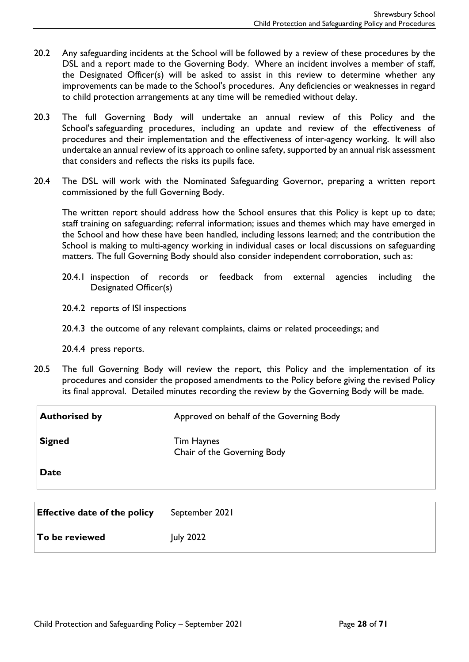- 20.2 Any safeguarding incidents at the School will be followed by a review of these procedures by the DSL and a report made to the Governing Body. Where an incident involves a member of staff, the Designated Officer(s) will be asked to assist in this review to determine whether any improvements can be made to the School's procedures. Any deficiencies or weaknesses in regard to child protection arrangements at any time will be remedied without delay.
- 20.3 The full Governing Body will undertake an annual review of this Policy and the School's safeguarding procedures, including an update and review of the effectiveness of procedures and their implementation and the effectiveness of inter-agency working. It will also undertake an annual review of its approach to online safety, supported by an annual risk assessment that considers and reflects the risks its pupils face.
- 20.4 The DSL will work with the Nominated Safeguarding Governor, preparing a written report commissioned by the full Governing Body.

The written report should address how the School ensures that this Policy is kept up to date; staff training on safeguarding; referral information; issues and themes which may have emerged in the School and how these have been handled, including lessons learned; and the contribution the School is making to multi-agency working in individual cases or local discussions on safeguarding matters. The full Governing Body should also consider independent corroboration, such as:

- 20.4.1 inspection of records or feedback from external agencies including the Designated Officer(s)
- 20.4.2 reports of ISI inspections
- 20.4.3 the outcome of any relevant complaints, claims or related proceedings; and
- 20.4.4 press reports.
- 20.5 The full Governing Body will review the report, this Policy and the implementation of its procedures and consider the proposed amendments to the Policy before giving the revised Policy its final approval. Detailed minutes recording the review by the Governing Body will be made.

| <b>Authorised by</b>                | Approved on behalf of the Governing Body         |  |
|-------------------------------------|--------------------------------------------------|--|
| <b>Signed</b>                       | <b>Tim Haynes</b><br>Chair of the Governing Body |  |
| <b>Date</b>                         |                                                  |  |
|                                     |                                                  |  |
| <b>Effective date of the policy</b> | September 2021                                   |  |
| To be reviewed                      | July 2022                                        |  |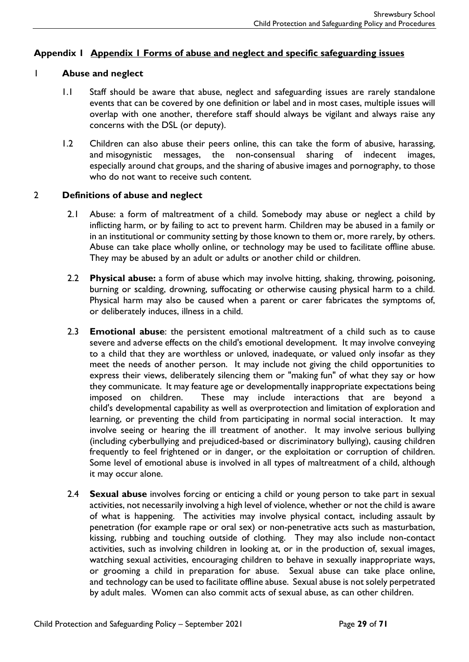## <span id="page-28-0"></span>**Appendix 1 Appendix 1 Forms of abuse and neglect and specific safeguarding issues**

#### 1 **Abuse and neglect**

- 1.1 Staff should be aware that abuse, neglect and safeguarding issues are rarely standalone events that can be covered by one definition or label and in most cases, multiple issues will overlap with one another, therefore staff should always be vigilant and always raise any concerns with the DSL (or deputy).
- 1.2 Children can also abuse their peers online, this can take the form of abusive, harassing, and misogynistic messages, the non-consensual sharing of indecent images, especially around chat groups, and the sharing of abusive images and pornography, to those who do not want to receive such content.

#### 2 **Definitions of abuse and neglect**

- 2.1 Abuse: a form of maltreatment of a child. Somebody may abuse or neglect a child by inflicting harm, or by failing to act to prevent harm. Children may be abused in a family or in an institutional or community setting by those known to them or, more rarely, by others. Abuse can take place wholly online, or technology may be used to facilitate offline abuse. They may be abused by an adult or adults or another child or children.
- 2.2 **Physical abuse:** a form of abuse which may involve hitting, shaking, throwing, poisoning, burning or scalding, drowning, suffocating or otherwise causing physical harm to a child. Physical harm may also be caused when a parent or carer fabricates the symptoms of, or deliberately induces, illness in a child.
- 2.3 **Emotional abuse**: the persistent emotional maltreatment of a child such as to cause severe and adverse effects on the child's emotional development. It may involve conveying to a child that they are worthless or unloved, inadequate, or valued only insofar as they meet the needs of another person. It may include not giving the child opportunities to express their views, deliberately silencing them or "making fun" of what they say or how they communicate. It may feature age or developmentally inappropriate expectations being imposed on children. These may include interactions that are beyond a child's developmental capability as well as overprotection and limitation of exploration and learning, or preventing the child from participating in normal social interaction. It may involve seeing or hearing the ill treatment of another. It may involve serious bullying (including cyberbullying and prejudiced-based or discriminatory bullying), causing children frequently to feel frightened or in danger, or the exploitation or corruption of children. Some level of emotional abuse is involved in all types of maltreatment of a child, although it may occur alone.
- 2.4 **Sexual abuse** involves forcing or enticing a child or young person to take part in sexual activities, not necessarily involving a high level of violence, whether or not the child is aware of what is happening. The activities may involve physical contact, including assault by penetration (for example rape or oral sex) or non-penetrative acts such as masturbation, kissing, rubbing and touching outside of clothing. They may also include non-contact activities, such as involving children in looking at, or in the production of, sexual images, watching sexual activities, encouraging children to behave in sexually inappropriate ways, or grooming a child in preparation for abuse. Sexual abuse can take place online, and technology can be used to facilitate offline abuse. Sexual abuse is not solely perpetrated by adult males. Women can also commit acts of sexual abuse, as can other children.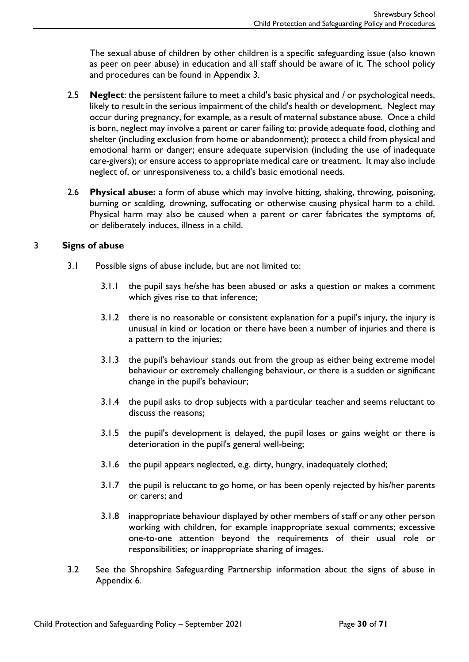The sexual abuse of children by other children is a specific safeguarding issue (also known as peer on peer abuse) in education and all staff should be aware of it. The school policy and procedures can be found in Appendix 3.

- 2.5 **Neglect**: the persistent failure to meet a child's basic physical and / or psychological needs, likely to result in the serious impairment of the child's health or development. Neglect may occur during pregnancy, for example, as a result of maternal substance abuse. Once a child is born, neglect may involve a parent or carer failing to: provide adequate food, clothing and shelter (including exclusion from home or abandonment); protect a child from physical and emotional harm or danger; ensure adequate supervision (including the use of inadequate care-givers); or ensure access to appropriate medical care or treatment. It may also include neglect of, or unresponsiveness to, a child's basic emotional needs.
- 2.6 **Physical abuse:** a form of abuse which may involve hitting, shaking, throwing, poisoning, burning or scalding, drowning, suffocating or otherwise causing physical harm to a child. Physical harm may also be caused when a parent or carer fabricates the symptoms of, or deliberately induces, illness in a child.

#### 3 **Signs of abuse**

- 3.1 Possible signs of abuse include, but are not limited to:
	- 3.1.1 the pupil says he/she has been abused or asks a question or makes a comment which gives rise to that inference;
	- 3.1.2 there is no reasonable or consistent explanation for a pupil's injury, the injury is unusual in kind or location or there have been a number of injuries and there is a pattern to the injuries;
	- 3.1.3 the pupil's behaviour stands out from the group as either being extreme model behaviour or extremely challenging behaviour, or there is a sudden or significant change in the pupil's behaviour;
	- 3.1.4 the pupil asks to drop subjects with a particular teacher and seems reluctant to discuss the reasons;
	- 3.1.5 the pupil's development is delayed, the pupil loses or gains weight or there is deterioration in the pupil's general well-being;
	- 3.1.6 the pupil appears neglected, e.g. dirty, hungry, inadequately clothed;
	- 3.1.7 the pupil is reluctant to go home, or has been openly rejected by his/her parents or carers; and
	- 3.1.8 inappropriate behaviour displayed by other members of staff or any other person working with children, for example inappropriate sexual comments; excessive one-to-one attention beyond the requirements of their usual role or responsibilities; or inappropriate sharing of images.
- 3.2 See the Shropshire Safeguarding Partnership information about the signs of abuse in Appendix 6.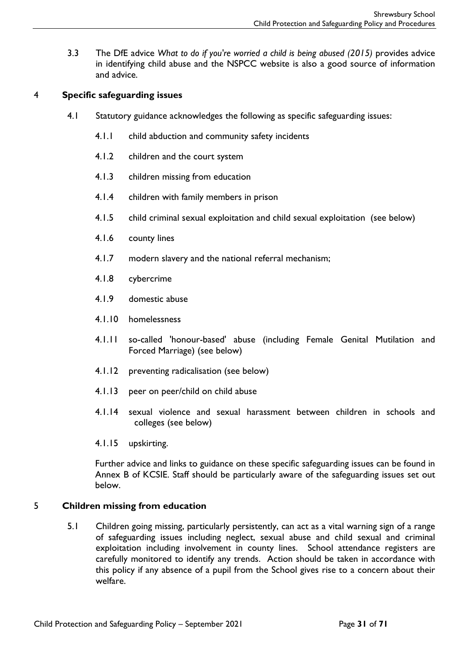3.3 The DfE advice *What to do if you're worried a child is being abused (2015)* provides advice in identifying child abuse and the NSPCC website is also a good source of information and advice.

## 4 **Specific safeguarding issues**

- 4.1 Statutory guidance acknowledges the following as specific safeguarding issues:
	- 4.1.1 child abduction and community safety incidents
	- 4.1.2 children and the court system
	- 4.1.3 children missing from education
	- 4.1.4 children with family members in prison
	- 4.1.5 child criminal sexual exploitation and child sexual exploitation (see below)
	- 4.1.6 county lines
	- 4.1.7 modern slavery and the national referral mechanism;
	- 4.1.8 cybercrime
	- 4.1.9 domestic abuse
	- 4.1.10 homelessness
	- 4.1.11 so-called 'honour-based' abuse (including Female Genital Mutilation and Forced Marriage) (see below)
	- 4.1.12 preventing radicalisation (see below)
	- 4.1.13 peer on peer/child on child abuse
	- 4.1.14 sexual violence and sexual harassment between children in schools and colleges (see below)
	- 4.1.15 upskirting.

Further advice and links to guidance on these specific safeguarding issues can be found in Annex B of KCSIE. Staff should be particularly aware of the safeguarding issues set out below.

#### 5 **Children missing from education**

5.1 Children going missing, particularly persistently, can act as a vital warning sign of a range of safeguarding issues including neglect, sexual abuse and child sexual and criminal exploitation including involvement in county lines. School attendance registers are carefully monitored to identify any trends. Action should be taken in accordance with this policy if any absence of a pupil from the School gives rise to a concern about their welfare.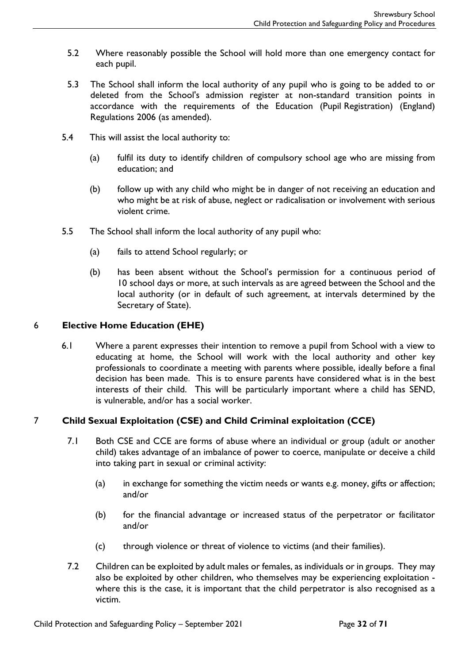- 5.2 Where reasonably possible the School will hold more than one emergency contact for each pupil.
- 5.3 The School shall inform the local authority of any pupil who is going to be added to or deleted from the School's admission register at non-standard transition points in accordance with the requirements of the Education (Pupil Registration) (England) Regulations 2006 (as amended).
- 5.4 This will assist the local authority to:
	- (a) fulfil its duty to identify children of compulsory school age who are missing from education; and
	- (b) follow up with any child who might be in danger of not receiving an education and who might be at risk of abuse, neglect or radicalisation or involvement with serious violent crime.
- 5.5 The School shall inform the local authority of any pupil who:
	- (a) fails to attend School regularly; or
	- (b) has been absent without the School's permission for a continuous period of 10 school days or more, at such intervals as are agreed between the School and the local authority (or in default of such agreement, at intervals determined by the Secretary of State).

#### 6 **Elective Home Education (EHE)**

6.1 Where a parent expresses their intention to remove a pupil from School with a view to educating at home, the School will work with the local authority and other key professionals to coordinate a meeting with parents where possible, ideally before a final decision has been made. This is to ensure parents have considered what is in the best interests of their child. This will be particularly important where a child has SEND, is vulnerable, and/or has a social worker.

#### 7 **Child Sexual Exploitation (CSE) and Child Criminal exploitation (CCE)**

- 7.1 Both CSE and CCE are forms of abuse where an individual or group (adult or another child) takes advantage of an imbalance of power to coerce, manipulate or deceive a child into taking part in sexual or criminal activity:
	- (a) in exchange for something the victim needs or wants e.g. money, gifts or affection; and/or
	- (b) for the financial advantage or increased status of the perpetrator or facilitator and/or
	- (c) through violence or threat of violence to victims (and their families).
- 7.2 Children can be exploited by adult males or females, as individuals or in groups. They may also be exploited by other children, who themselves may be experiencing exploitation where this is the case, it is important that the child perpetrator is also recognised as a victim.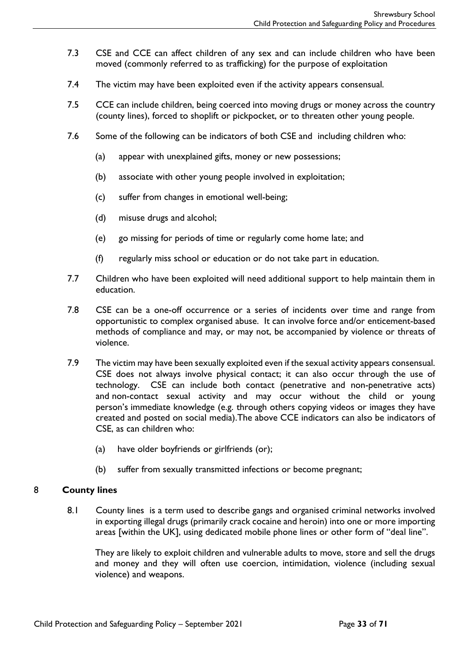- 7.3 CSE and CCE can affect children of any sex and can include children who have been moved (commonly referred to as trafficking) for the purpose of exploitation
- 7.4 The victim may have been exploited even if the activity appears consensual.
- 7.5 CCE can include children, being coerced into moving drugs or money across the country (county lines), forced to shoplift or pickpocket, or to threaten other young people.
- 7.6 Some of the following can be indicators of both CSE and including children who:
	- (a) appear with unexplained gifts, money or new possessions;
	- (b) associate with other young people involved in exploitation;
	- (c) suffer from changes in emotional well-being;
	- (d) misuse drugs and alcohol;
	- (e) go missing for periods of time or regularly come home late; and
	- (f) regularly miss school or education or do not take part in education.
- 7.7 Children who have been exploited will need additional support to help maintain them in education.
- 7.8 CSE can be a one-off occurrence or a series of incidents over time and range from opportunistic to complex organised abuse. It can involve force and/or enticement-based methods of compliance and may, or may not, be accompanied by violence or threats of violence.
- 7.9 The victim may have been sexually exploited even if the sexual activity appears consensual. CSE does not always involve physical contact; it can also occur through the use of technology. CSE can include both contact (penetrative and non-penetrative acts) and non-contact sexual activity and may occur without the child or young person's immediate knowledge (e.g. through others copying videos or images they have created and posted on social media).The above CCE indicators can also be indicators of CSE, as can children who:
	- (a) have older boyfriends or girlfriends (or);
	- (b) suffer from sexually transmitted infections or become pregnant;

#### 8 **County lines**

8.1 County lines is a term used to describe gangs and organised criminal networks involved in exporting illegal drugs (primarily crack cocaine and heroin) into one or more importing areas [within the UK], using dedicated mobile phone lines or other form of "deal line".

They are likely to exploit children and vulnerable adults to move, store and sell the drugs and money and they will often use coercion, intimidation, violence (including sexual violence) and weapons.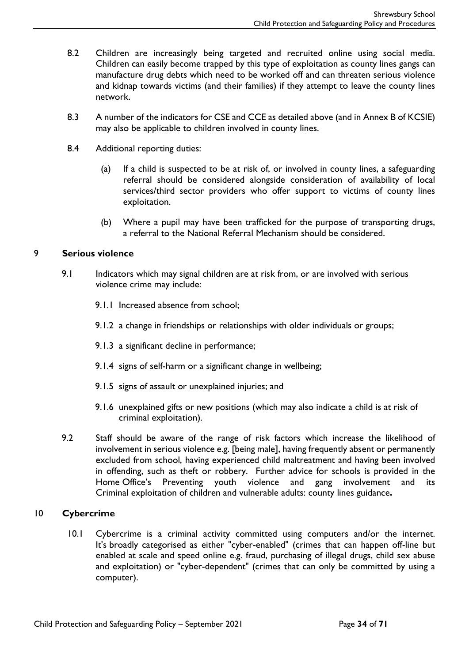- 8.2 Children are increasingly being targeted and recruited online using social media. Children can easily become trapped by this type of exploitation as county lines gangs can manufacture drug debts which need to be worked off and can threaten serious violence and kidnap towards victims (and their families) if they attempt to leave the county lines network.
- 8.3 A number of the indicators for CSE and CCE as detailed above (and in Annex B of KCSIE) may also be applicable to children involved in county lines.
- 8.4 Additional reporting duties:
	- (a) If a child is suspected to be at risk of, or involved in county lines, a safeguarding referral should be considered alongside consideration of availability of local services/third sector providers who offer support to victims of county lines exploitation.
	- (b) Where a pupil may have been trafficked for the purpose of transporting drugs, a referral to the National Referral Mechanism should be considered.

#### 9 **Serious violence**

- 9.1 Indicators which may signal children are at risk from, or are involved with serious violence crime may include:
	- 9.1.1 Increased absence from school;
	- 9.1.2 a change in friendships or relationships with older individuals or groups;
	- 9.1.3 a significant decline in performance;
	- 9.1.4 signs of self-harm or a significant change in wellbeing;
	- 9.1.5 signs of assault or unexplained injuries; and
	- 9.1.6 unexplained gifts or new positions (which may also indicate a child is at risk of criminal exploitation).
- 9.2 Staff should be aware of the range of risk factors which increase the likelihood of involvement in serious violence e.g. [being male], having frequently absent or permanently excluded from school, having experienced child maltreatment and having been involved in offending, such as theft or robbery. Further advice for schools is provided in the Home Office's Preventing youth violence and gang involvement and its Criminal exploitation of children and vulnerable adults: county lines guidance**.**

#### 10 **Cybercrime**

10.1 Cybercrime is a criminal activity committed using computers and/or the internet. It's broadly categorised as either "cyber-enabled" (crimes that can happen off-line but enabled at scale and speed online e.g. fraud, purchasing of illegal drugs, child sex abuse and exploitation) or "cyber-dependent" (crimes that can only be committed by using a computer).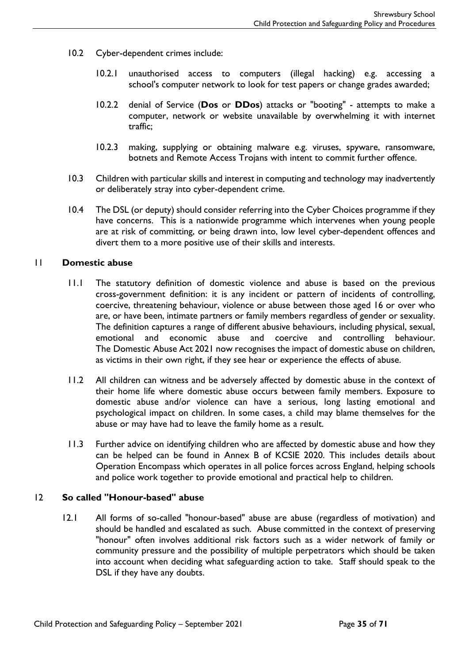- 10.2 Cyber-dependent crimes include:
	- 10.2.1 unauthorised access to computers (illegal hacking) e.g. accessing a school's computer network to look for test papers or change grades awarded;
	- 10.2.2 denial of Service (**Dos** or **DDos**) attacks or "booting" attempts to make a computer, network or website unavailable by overwhelming it with internet traffic;
	- 10.2.3 making, supplying or obtaining malware e.g. viruses, spyware, ransomware, botnets and Remote Access Trojans with intent to commit further offence.
- 10.3 Children with particular skills and interest in computing and technology may inadvertently or deliberately stray into cyber-dependent crime.
- 10.4 The DSL (or deputy) should consider referring into the Cyber Choices programme if they have concerns. This is a nationwide programme which intervenes when young people are at risk of committing, or being drawn into, low level cyber-dependent offences and divert them to a more positive use of their skills and interests.

#### 11 **Domestic abuse**

- 11.1 The statutory definition of domestic violence and abuse is based on the previous cross-government definition: it is any incident or pattern of incidents of controlling, coercive, threatening behaviour, violence or abuse between those aged 16 or over who are, or have been, intimate partners or family members regardless of gender or sexuality. The definition captures a range of different abusive behaviours, including physical, sexual, emotional and economic abuse and coercive and controlling behaviour. The Domestic Abuse Act 2021 now recognises the impact of domestic abuse on children, as victims in their own right, if they see hear or experience the effects of abuse.
- 11.2 All children can witness and be adversely affected by domestic abuse in the context of their home life where domestic abuse occurs between family members. Exposure to domestic abuse and/or violence can have a serious, long lasting emotional and psychological impact on children. In some cases, a child may blame themselves for the abuse or may have had to leave the family home as a result.
- 11.3 Further advice on identifying children who are affected by domestic abuse and how they can be helped can be found in Annex B of KCSIE 2020. This includes details about Operation Encompass which operates in all police forces across England, helping schools and police work together to provide emotional and practical help to children.

#### 12 **So called "Honour-based" abuse**

12.1 All forms of so-called "honour-based" abuse are abuse (regardless of motivation) and should be handled and escalated as such. Abuse committed in the context of preserving "honour" often involves additional risk factors such as a wider network of family or community pressure and the possibility of multiple perpetrators which should be taken into account when deciding what safeguarding action to take. Staff should speak to the DSL if they have any doubts.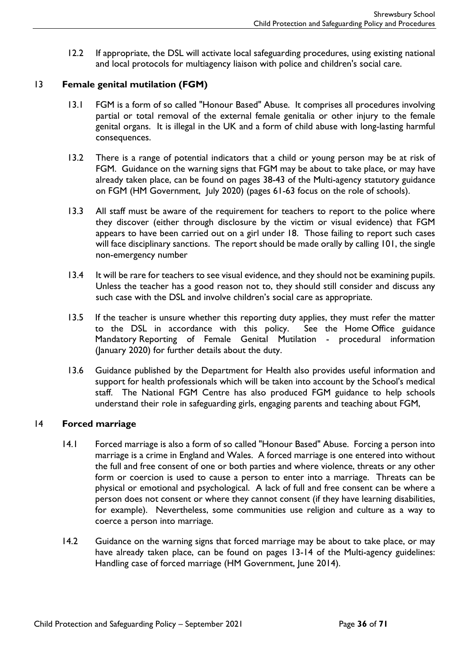12.2 If appropriate, the DSL will activate local safeguarding procedures, using existing national and local protocols for multiagency liaison with police and children's social care.

#### 13 **Female genital mutilation (FGM)**

- 13.1 FGM is a form of so called "Honour Based" Abuse. It comprises all procedures involving partial or total removal of the external female genitalia or other injury to the female genital organs. It is illegal in the UK and a form of child abuse with long-lasting harmful consequences.
- 13.2 There is a range of potential indicators that a child or young person may be at risk of FGM. Guidance on the warning signs that FGM may be about to take place, or may have already taken place, can be found on pages 38-43 of the [Multi-agency statutory guidance](https://www.gov.uk/government/publications/multi-agency-statutory-guidance-on-female-genital-mutilation)  [on FG](https://www.gov.uk/government/publications/multi-agency-statutory-guidance-on-female-genital-mutilation)M (HM Government, July 2020) (pages 61-63 focus on the role of schools).
- 13.3 All staff must be aware of the requirement for teachers to report to the police where they discover (either through disclosure by the victim or visual evidence) that FGM appears to have been carried out on a girl under 18. Those failing to report such cases will face disciplinary sanctions. The report should be made orally by calling 101, the single non-emergency number
- 13.4 It will be rare for teachers to see visual evidence, and they should not be examining pupils. Unless the teacher has a good reason not to, they should still consider and discuss any such case with the DSL and involve children's social care as appropriate.
- 13.5 If the teacher is unsure whether this reporting duty applies, they must refer the matter to the DSL in accordance with this policy. See the Home Office guidance Mandatory Reporting of Female Genital Mutilation - procedural information (January 2020) for further details about the duty.
- 13.6 Guidance published by the [Department for Health](https://www.gov.uk/government/publications/fgm-mandatory-reporting-in-healthcare) also provides useful information and support for health professionals which will be taken into account by the School's medical staff. The National FGM Centre has also produced [FGM guidance](http://nationalfgmcentre.org.uk/wp-content/uploads/2019/06/FGM-Schools-Guidance-National-FGM-Centre.pdf) to help schools understand their role in safeguarding girls, engaging parents and teaching about FGM,

#### 14 **Forced marriage**

- 14.1 Forced marriage is also a form of so called "Honour Based" Abuse. Forcing a person into marriage is a crime in England and Wales. A forced marriage is one entered into without the full and free consent of one or both parties and where violence, threats or any other form or coercion is used to cause a person to enter into a marriage. Threats can be physical or emotional and psychological. A lack of full and free consent can be where a person does not consent or where they cannot consent (if they have learning disabilities, for example). Nevertheless, some communities use religion and culture as a way to coerce a person into marriage.
- 14.2 Guidance on the warning signs that forced marriage may be about to take place, or may have already taken place, can be found on pages 13-14 of the [Multi-agency guidelines:](https://www.gov.uk/government/uploads/system/uploads/attachment_data/file/322307/HMG_MULTI_AGENCY_PRACTICE_GUIDELINES_v1_180614_FINAL.pdf)  [Handling case of forced marriage](https://www.gov.uk/government/uploads/system/uploads/attachment_data/file/322307/HMG_MULTI_AGENCY_PRACTICE_GUIDELINES_v1_180614_FINAL.pdf) (HM Government, June 2014).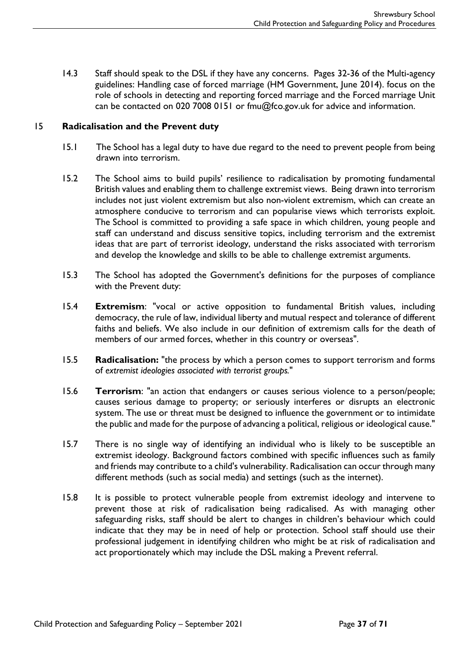14.3 Staff should speak to the DSL if they have any concerns. Pages 32-36 of the [Multi-agency](https://www.gov.uk/government/uploads/system/uploads/attachment_data/file/322307/HMG_MULTI_AGENCY_PRACTICE_GUIDELINES_v1_180614_FINAL.pdf)  [guidelines: Handling case of forced marriage](https://www.gov.uk/government/uploads/system/uploads/attachment_data/file/322307/HMG_MULTI_AGENCY_PRACTICE_GUIDELINES_v1_180614_FINAL.pdf) (HM Government, June 2014). focus on the role of schools in detecting and reporting forced marriage and the Forced marriage Unit can be contacted on 020 7008 0151 or [fmu@fco.gov.uk f](mailto:fmu@fco.gov.uk)or advice and information.

#### 15 **Radicalisation and the Prevent duty**

- 15.1 The School has a legal duty to have due regard to the need to prevent people from being drawn into terrorism.
- 15.2 The School aims to build pupils' resilience to radicalisation by promoting fundamental British values and enabling them to challenge extremist views. Being drawn into terrorism includes not just violent extremism but also non-violent extremism, which can create an atmosphere conducive to terrorism and can popularise views which terrorists exploit. The School is committed to providing a safe space in which children, young people and staff can understand and discuss sensitive topics, including terrorism and the extremist ideas that are part of terrorist ideology, understand the risks associated with terrorism and develop the knowledge and skills to be able to challenge extremist arguments.
- 15.3 The School has adopted the Government's definitions for the purposes of compliance with the Prevent duty:
- 15.4 **Extremism**: "vocal or active opposition to fundamental British values, including democracy, the rule of law, individual liberty and mutual respect and tolerance of different faiths and beliefs. We also include in our definition of extremism calls for the death of members of our armed forces, whether in this country or overseas".
- 15.5 **Radicalisation:** "the process by which a person comes to support terrorism and forms of *extremist ideologies associated with terrorist groups.*"
- 15.6 **Terrorism**: "an action that endangers or causes serious violence to a person/people; causes serious damage to property; or seriously interferes or disrupts an electronic system. The use or threat must be designed to influence the government or to intimidate the public and made for the purpose of advancing a political, religious or ideological cause."
- 15.7 There is no single way of identifying an individual who is likely to be susceptible an extremist ideology. Background factors combined with specific influences such as family and friends may contribute to a child's vulnerability. Radicalisation can occur through many different methods (such as social media) and settings (such as the internet).
- 15.8 It is possible to protect vulnerable people from extremist ideology and intervene to prevent those at risk of radicalisation being radicalised. As with managing other safeguarding risks, staff should be alert to changes in children's behaviour which could indicate that they may be in need of help or protection. School staff should use their professional judgement in identifying children who might be at risk of radicalisation and act proportionately which may include the DSL making a Prevent referral.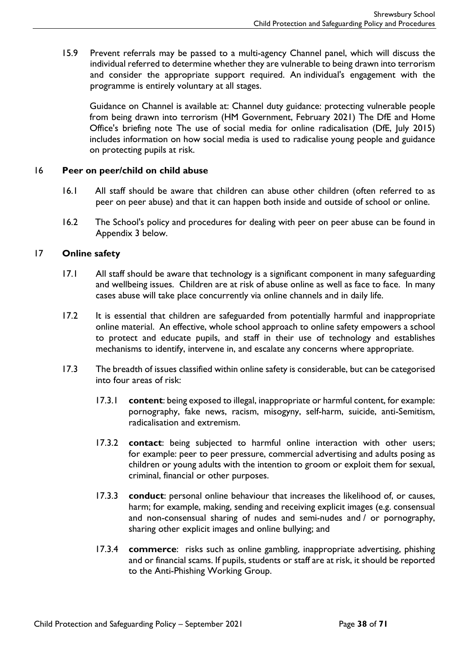15.9 Prevent referrals may be passed to a multi-agency Channel panel, which will discuss the individual referred to determine whether they are vulnerable to being drawn into terrorism and consider the appropriate support required. An individual's engagement with the programme is entirely voluntary at all stages.

Guidance on Channel is available at: Channel duty guidance: protecting vulnerable people from being drawn into terrorism (HM Government, February 2021) The DfE and Home Office's briefing note The use of social media for online radicalisation (DfE, July 2015) includes information on how social media is used to radicalise young people and guidance on protecting pupils at risk.

#### 16 **Peer on peer/child on child abuse**

- 16.1 All staff should be aware that children can abuse other children (often referred to as peer on peer abuse) and that it can happen both inside and outside of school or online.
- 16.2 The School's policy and procedures for dealing with peer on peer abuse can be found in Appendix 3 below.

#### 17 **Online safety**

- 17.1 All staff should be aware that technology is a significant component in many safeguarding and wellbeing issues. Children are at risk of abuse online as well as face to face. In many cases abuse will take place concurrently via online channels and in daily life.
- 17.2 It is essential that children are safeguarded from potentially harmful and inappropriate online material. An effective, whole school approach to online safety empowers a school to protect and educate pupils, and staff in their use of technology and establishes mechanisms to identify, intervene in, and escalate any concerns where appropriate.
- 17.3 The breadth of issues classified within online safety is considerable, but can be categorised into four areas of risk:
	- 17.3.1 **content**: being exposed to illegal, inappropriate or harmful content, for example: pornography, fake news, racism, misogyny, self-harm, suicide, anti-Semitism, radicalisation and extremism.
	- 17.3.2 **contact**: being subjected to harmful online interaction with other users; for example: peer to peer pressure, commercial advertising and adults posing as children or young adults with the intention to groom or exploit them for sexual, criminal, financial or other purposes.
	- 17.3.3 **conduct**: personal online behaviour that increases the likelihood of, or causes, harm; for example, making, sending and receiving explicit images (e.g. consensual and non-consensual sharing of nudes and semi-nudes and / or pornography, sharing other explicit images and online bullying; and
	- 17.3.4 **commerce**: risks such as online gambling, inappropriate advertising, phishing and or financial scams. If pupils, students or staff are at risk, it should be reported to the Anti-Phishing Working Group.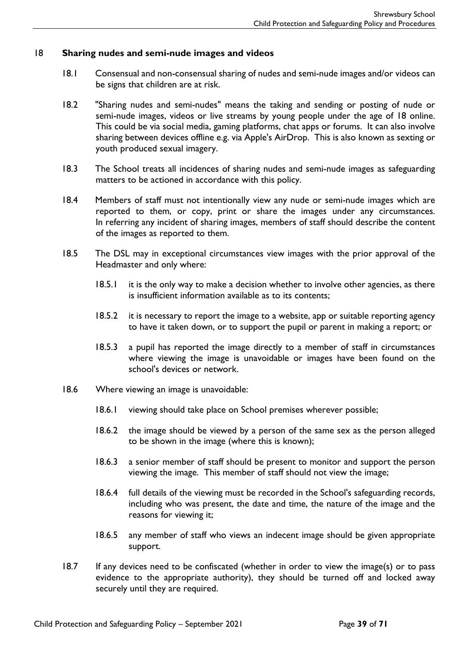#### 18 **Sharing nudes and semi-nude images and videos**

- 18.1 Consensual and non-consensual sharing of nudes and semi-nude images and/or videos can be signs that children are at risk.
- 18.2 "Sharing nudes and semi-nudes" means the taking and sending or posting of nude or semi-nude images, videos or live streams by young people under the age of 18 online. This could be via social media, gaming platforms, chat apps or forums. It can also involve sharing between devices offline e.g. via Apple's AirDrop. This is also known as sexting or youth produced sexual imagery.
- 18.3 The School treats all incidences of sharing nudes and semi-nude images as safeguarding matters to be actioned in accordance with this policy.
- 18.4 Members of staff must not intentionally view any nude or semi-nude images which are reported to them, or copy, print or share the images under any circumstances. In referring any incident of sharing images, members of staff should describe the content of the images as reported to them.
- 18.5 The DSL may in exceptional circumstances view images with the prior approval of the Headmaster and only where:
	- 18.5.1 it is the only way to make a decision whether to involve other agencies, as there is insufficient information available as to its contents;
	- 18.5.2 it is necessary to report the image to a website, app or suitable reporting agency to have it taken down, or to support the pupil or parent in making a report; or
	- 18.5.3 a pupil has reported the image directly to a member of staff in circumstances where viewing the image is unavoidable or images have been found on the school's devices or network.
- 18.6 Where viewing an image is unavoidable:
	- 18.6.1 viewing should take place on School premises wherever possible;
	- 18.6.2 the image should be viewed by a person of the same sex as the person alleged to be shown in the image (where this is known);
	- 18.6.3 a senior member of staff should be present to monitor and support the person viewing the image. This member of staff should not view the image;
	- 18.6.4 full details of the viewing must be recorded in the School's safeguarding records, including who was present, the date and time, the nature of the image and the reasons for viewing it;
	- 18.6.5 any member of staff who views an indecent image should be given appropriate support.
- 18.7 If any devices need to be confiscated (whether in order to view the image(s) or to pass evidence to the appropriate authority), they should be turned off and locked away securely until they are required.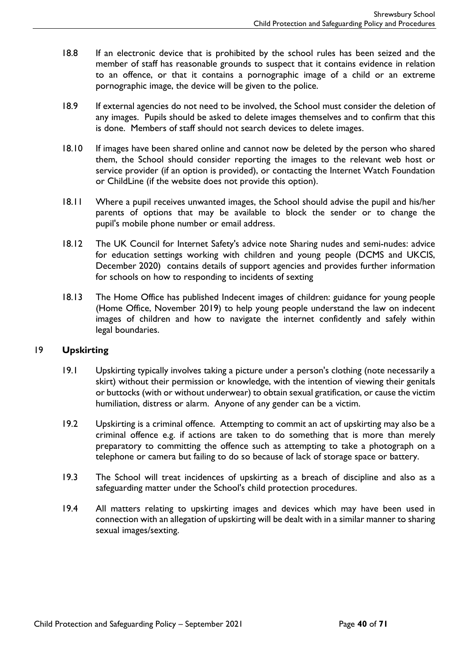- 18.8 If an electronic device that is prohibited by the school rules has been seized and the member of staff has reasonable grounds to suspect that it contains evidence in relation to an offence, or that it contains a pornographic image of a child or an extreme pornographic image, the device will be given to the police.
- 18.9 If external agencies do not need to be involved, the School must consider the deletion of any images. Pupils should be asked to delete images themselves and to confirm that this is done. Members of staff should not search devices to delete images.
- 18.10 If images have been shared online and cannot now be deleted by the person who shared them, the School should consider reporting the images to the relevant web host or service provider (if an option is provided), or contacting the Internet Watch Foundation or ChildLine (if the website does not provide this option).
- 18.11 Where a pupil receives unwanted images, the School should advise the pupil and his/her parents of options that may be available to block the sender or to change the pupil's mobile phone number or email address.
- 18.12 The UK Council for Internet Safety's advice note Sharing nudes and semi-nudes: advice for education settings working with children and young people (DCMS and UKCIS, December 2020) contains details of support agencies and provides further information for schools on how to responding to incidents of sexting
- 18.13 The Home Office has published Indecent images of children: guidance for young people (Home Office, November 2019) to help young people understand the law on indecent images of children and how to navigate the internet confidently and safely within legal boundaries.

#### 19 **Upskirting**

- 19.1 Upskirting typically involves taking a picture under a person's clothing (note necessarily a skirt) without their permission or knowledge, with the intention of viewing their genitals or buttocks (with or without underwear) to obtain sexual gratification, or cause the victim humiliation, distress or alarm. Anyone of any gender can be a victim.
- 19.2 Upskirting is a criminal offence. Attempting to commit an act of upskirting may also be a criminal offence e.g. if actions are taken to do something that is more than merely preparatory to committing the offence such as attempting to take a photograph on a telephone or camera but failing to do so because of lack of storage space or battery.
- 19.3 The School will treat incidences of upskirting as a breach of discipline and also as a safeguarding matter under the School's child protection procedures.
- 19.4 All matters relating to upskirting images and devices which may have been used in connection with an allegation of upskirting will be dealt with in a similar manner to sharing sexual images/sexting.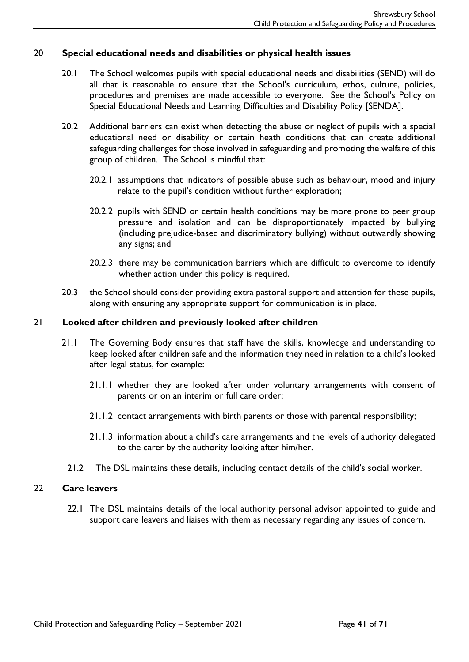#### 20 **Special educational needs and disabilities or physical health issues**

- 20.1 The School welcomes pupils with special educational needs and disabilities (SEND) will do all that is reasonable to ensure that the School's curriculum, ethos, culture, policies, procedures and premises are made accessible to everyone. See the School's Policy on Special Educational Needs and Learning Difficulties and Disability Policy [SENDA].
- 20.2 Additional barriers can exist when detecting the abuse or neglect of pupils with a special educational need or disability or certain heath conditions that can create additional safeguarding challenges for those involved in safeguarding and promoting the welfare of this group of children. The School is mindful that:
	- 20.2.1 assumptions that indicators of possible abuse such as behaviour, mood and injury relate to the pupil's condition without further exploration;
	- 20.2.2 pupils with SEND or certain health conditions may be more prone to peer group pressure and isolation and can be disproportionately impacted by bullying (including prejudice-based and discriminatory bullying) without outwardly showing any signs; and
	- 20.2.3 there may be communication barriers which are difficult to overcome to identify whether action under this policy is required.
- 20.3 the School should consider providing extra pastoral support and attention for these pupils, along with ensuring any appropriate support for communication is in place.

#### 21 **Looked after children and previously looked after children**

- 21.1 The Governing Body ensures that staff have the skills, knowledge and understanding to keep looked after children safe and the information they need in relation to a child's looked after legal status, for example:
	- 21.1.1 whether they are looked after under voluntary arrangements with consent of parents or on an interim or full care order;
	- 21.1.2 contact arrangements with birth parents or those with parental responsibility;
	- 21.1.3 information about a child's care arrangements and the levels of authority delegated to the carer by the authority looking after him/her.
	- 21.2 The DSL maintains these details, including contact details of the child's social worker.

#### 22 **Care leavers**

22.1 The DSL maintains details of the local authority personal advisor appointed to guide and support care leavers and liaises with them as necessary regarding any issues of concern.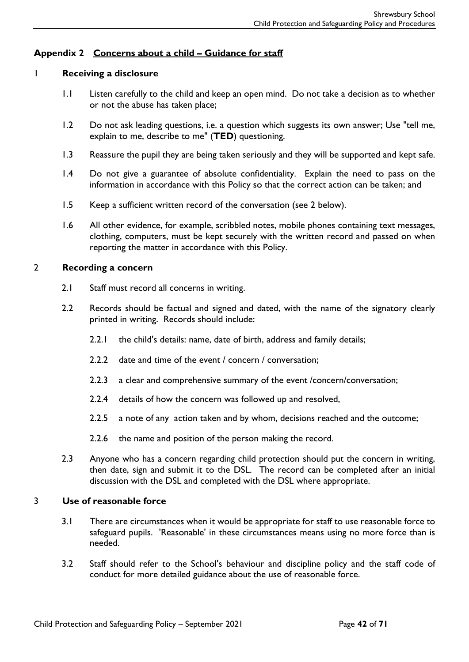# <span id="page-41-0"></span>**Appendix 2 Concerns about a child – Guidance for staff**

#### 1 **Receiving a disclosure**

- 1.1 Listen carefully to the child and keep an open mind. Do not take a decision as to whether or not the abuse has taken place;
- 1.2 Do not ask leading questions, i.e. a question which suggests its own answer; Use "tell me, explain to me, describe to me" (**TED**) questioning.
- 1.3 Reassure the pupil they are being taken seriously and they will be supported and kept safe.
- 1.4 Do not give a guarantee of absolute confidentiality. Explain the need to pass on the information in accordance with this Policy so that the correct action can be taken; and
- 1.5 Keep a sufficient written record of the conversation (see [2](#page-41-1) below).
- 1.6 All other evidence, for example, scribbled notes, mobile phones containing text messages, clothing, computers, must be kept securely with the written record and passed on when reporting the matter in accordance with this Policy.

#### <span id="page-41-1"></span>2 **Recording a concern**

- 2.1 Staff must record all concerns in writing.
- 2.2 Records should be factual and signed and dated, with the name of the signatory clearly printed in writing. Records should include:
	- 2.2.1 the child's details: name, date of birth, address and family details;
	- 2.2.2 date and time of the event / concern / conversation;
	- 2.2.3 a clear and comprehensive summary of the event /concern/conversation;
	- 2.2.4 details of how the concern was followed up and resolved,
	- 2.2.5 a note of any action taken and by whom, decisions reached and the outcome;
	- 2.2.6 the name and position of the person making the record.
- 2.3 Anyone who has a concern regarding child protection should put the concern in writing, then date, sign and submit it to the DSL. The record can be completed after an initial discussion with the DSL and completed with the DSL where appropriate.

#### 3 **Use of reasonable force**

- 3.1 There are circumstances when it would be appropriate for staff to use reasonable force to safeguard pupils. 'Reasonable' in these circumstances means using no more force than is needed.
- 3.2 Staff should refer to the School's behaviour and discipline policy and the staff code of conduct for more detailed guidance about the use of reasonable force.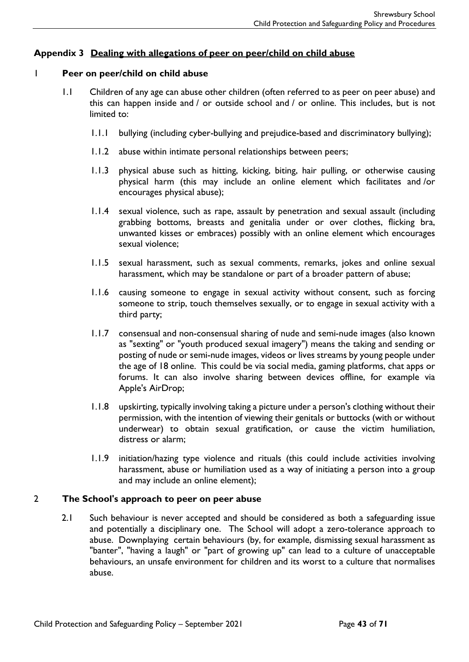## <span id="page-42-0"></span>**Appendix 3 Dealing with allegations of peer on peer/child on child abuse**

#### 1 **Peer on peer/child on child abuse**

- 1.1 Children of any age can abuse other children (often referred to as peer on peer abuse) and this can happen inside and / or outside school and / or online. This includes, but is not limited to:
	- 1.1.1 bullying (including cyber-bullying and prejudice-based and discriminatory bullying);
	- 1.1.2 abuse within intimate personal relationships between peers;
	- 1.1.3 physical abuse such as hitting, kicking, biting, hair pulling, or otherwise causing physical harm (this may include an online element which facilitates and /or encourages physical abuse);
	- 1.1.4 sexual violence, such as rape, assault by penetration and sexual assault (including grabbing bottoms, breasts and genitalia under or over clothes, flicking bra, unwanted kisses or embraces) possibly with an online element which encourages sexual violence;
	- 1.1.5 sexual harassment, such as sexual comments, remarks, jokes and online sexual harassment, which may be standalone or part of a broader pattern of abuse;
	- 1.1.6 causing someone to engage in sexual activity without consent, such as forcing someone to strip, touch themselves sexually, or to engage in sexual activity with a third party;
	- 1.1.7 consensual and non-consensual sharing of nude and semi-nude images (also known as "sexting" or "youth produced sexual imagery") means the taking and sending or posting of nude or semi-nude images, videos or lives streams by young people under the age of 18 online. This could be via social media, gaming platforms, chat apps or forums. It can also involve sharing between devices offline, for example via Apple's AirDrop;
	- 1.1.8 upskirting, typically involving taking a picture under a person's clothing without their permission, with the intention of viewing their genitals or buttocks (with or without underwear) to obtain sexual gratification, or cause the victim humiliation, distress or alarm;
	- 1.1.9 initiation/hazing type violence and rituals (this could include activities involving harassment, abuse or humiliation used as a way of initiating a person into a group and may include an online element);

#### 2 **The School's approach to peer on peer abuse**

2.1 Such behaviour is never accepted and should be considered as both a safeguarding issue and potentially a disciplinary one. The School will adopt a zero-tolerance approach to abuse. Downplaying certain behaviours (by, for example, dismissing sexual harassment as "banter", "having a laugh" or "part of growing up" can lead to a culture of unacceptable behaviours, an unsafe environment for children and its worst to a culture that normalises abuse.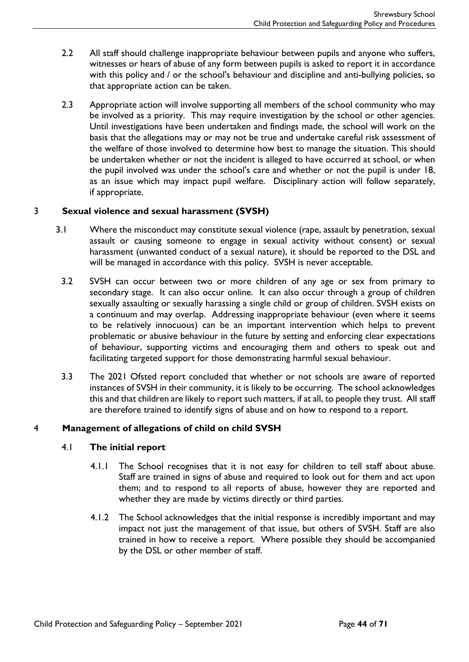- 2.2 All staff should challenge inappropriate behaviour between pupils and anyone who suffers, witnesses or hears of abuse of any form between pupils is asked to report it in accordance with this policy and / or the school's behaviour and discipline and anti-bullying policies, so that appropriate action can be taken.
- 2.3 Appropriate action will involve supporting all members of the school community who may be involved as a priority. This may require investigation by the school or other agencies. Until investigations have been undertaken and findings made, the school will work on the basis that the allegations may or may not be true and undertake careful risk assessment of the welfare of those involved to determine how best to manage the situation. This should be undertaken whether or not the incident is alleged to have occurred at school, or when the pupil involved was under the school's care and whether or not the pupil is under 18, as an issue which may impact pupil welfare. Disciplinary action will follow separately, if appropriate.

#### 3 **Sexual violence and sexual harassment (SVSH)**

- 3.1 Where the misconduct may constitute sexual violence (rape, assault by penetration, sexual assault or causing someone to engage in sexual activity without consent) or sexual harassment (unwanted conduct of a sexual nature), it should be reported to the DSL and will be managed in accordance with this policy. SVSH is never acceptable.
	- 3.2 SVSH can occur between two or more children of any age or sex from primary to secondary stage. It can also occur online. It can also occur through a group of children sexually assaulting or sexually harassing a single child or group of children. SVSH exists on a continuum and may overlap. Addressing inappropriate behaviour (even where it seems to be relatively innocuous) can be an important intervention which helps to prevent problematic or abusive behaviour in the future by setting and enforcing clear expectations of behaviour, supporting victims and encouraging them and others to speak out and facilitating targeted support for those demonstrating harmful sexual behaviour.
	- 3.3 The 2021 Ofsted report concluded that whether or not schools are aware of reported instances of SVSH in their community, it is likely to be occurring. The school acknowledges this and that children are likely to report such matters, if at all, to people they trust. All staff are therefore trained to identify signs of abuse and on how to respond to a report.

#### 4 **Management of allegations of child on child SVSH**

#### 4.1 **The initial report**

- 4.1.1 The School recognises that it is not easy for children to tell staff about abuse. Staff are trained in signs of abuse and required to look out for them and act upon them; and to respond to all reports of abuse, however they are reported and whether they are made by victims directly or third parties.
- 4.1.2 The School acknowledges that the initial response is incredibly important and may impact not just the management of that issue, but others of SVSH. Staff are also trained in how to receive a report. Where possible they should be accompanied by the DSL or other member of staff.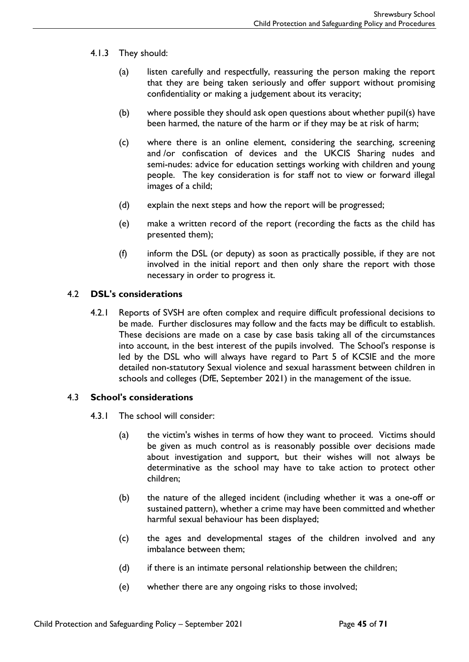- 4.1.3 They should:
	- (a) listen carefully and respectfully, reassuring the person making the report that they are being taken seriously and offer support without promising confidentiality or making a judgement about its veracity;
	- (b) where possible they should ask open questions about whether pupil(s) have been harmed, the nature of the harm or if they may be at risk of harm;
	- (c) where there is an online element, considering the searching, screening and /or confiscation of devices and the UKCIS Sharing nudes and semi-nudes: advice for education settings working with children and young people. The key consideration is for staff not to view or forward illegal images of a child;
	- (d) explain the next steps and how the report will be progressed;
	- (e) make a written record of the report (recording the facts as the child has presented them);
	- (f) inform the DSL (or deputy) as soon as practically possible, if they are not involved in the initial report and then only share the report with those necessary in order to progress it.

#### 4.2 **DSL's considerations**

4.2.1 Reports of SVSH are often complex and require difficult professional decisions to be made. Further disclosures may follow and the facts may be difficult to establish. These decisions are made on a case by case basis taking all of the circumstances into account, in the best interest of the pupils involved. The School's response is led by the DSL who will always have regard to Part 5 of KCSIE and the more detailed non-statutory Sexual violence and sexual harassment between children in schools and colleges (DfE, September 2021) in the management of the issue.

#### 4.3 **School's considerations**

- 4.3.1 The school will consider:
	- (a) the victim's wishes in terms of how they want to proceed. Victims should be given as much control as is reasonably possible over decisions made about investigation and support, but their wishes will not always be determinative as the school may have to take action to protect other children;
	- (b) the nature of the alleged incident (including whether it was a one-off or sustained pattern), whether a crime may have been committed and whether harmful sexual behaviour has been displayed;
	- (c) the ages and developmental stages of the children involved and any imbalance between them;
	- (d) if there is an intimate personal relationship between the children;
	- (e) whether there are any ongoing risks to those involved;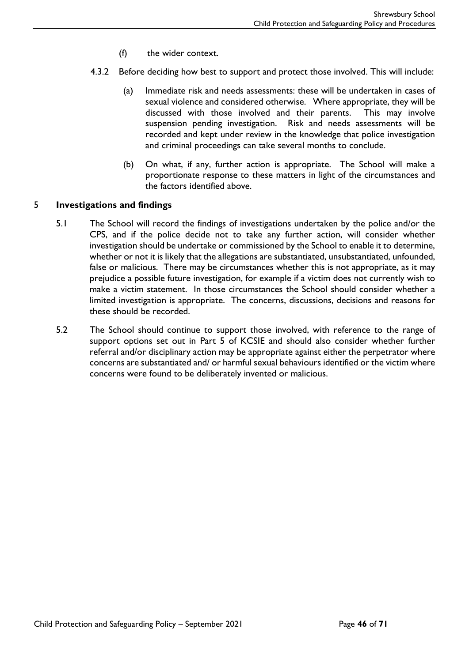- (f) the wider context.
- 4.3.2 Before deciding how best to support and protect those involved. This will include:
	- (a) Immediate risk and needs assessments: these will be undertaken in cases of sexual violence and considered otherwise. Where appropriate, they will be discussed with those involved and their parents. This may involve suspension pending investigation. Risk and needs assessments will be recorded and kept under review in the knowledge that police investigation and criminal proceedings can take several months to conclude.
	- (b) On what, if any, further action is appropriate. The School will make a proportionate response to these matters in light of the circumstances and the factors identified above.

#### 5 **Investigations and findings**

- 5.1 The School will record the findings of investigations undertaken by the police and/or the CPS, and if the police decide not to take any further action, will consider whether investigation should be undertake or commissioned by the School to enable it to determine, whether or not it is likely that the allegations are substantiated, unsubstantiated, unfounded, false or malicious. There may be circumstances whether this is not appropriate, as it may prejudice a possible future investigation, for example if a victim does not currently wish to make a victim statement. In those circumstances the School should consider whether a limited investigation is appropriate. The concerns, discussions, decisions and reasons for these should be recorded.
- 5.2 The School should continue to support those involved, with reference to the range of support options set out in Part 5 of KCSIE and should also consider whether further referral and/or disciplinary action may be appropriate against either the perpetrator where concerns are substantiated and/ or harmful sexual behaviours identified or the victim where concerns were found to be deliberately invented or malicious.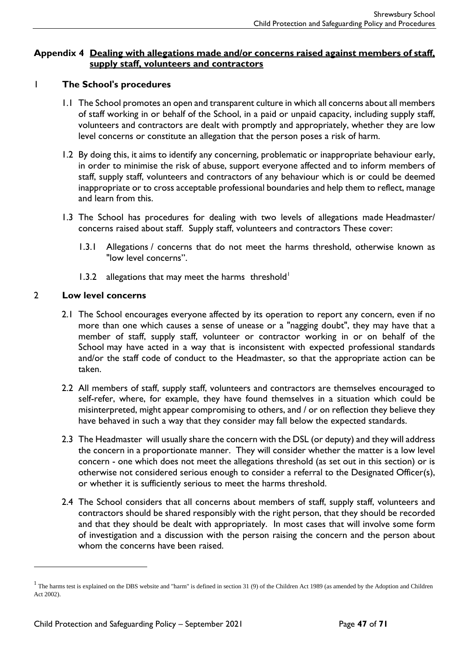## <span id="page-46-0"></span>**Appendix 4 Dealing with allegations made and/or concerns raised against members of staff, supply staff, volunteers and contractors**

#### 1 **The School's procedures**

- 1.1 The School promotes an open and transparent culture in which all concerns about all members of staff working in or behalf of the School, in a paid or unpaid capacity, including supply staff, volunteers and contractors are dealt with promptly and appropriately, whether they are low level concerns or constitute an allegation that the person poses a risk of harm.
- 1.2 By doing this, it aims to identify any concerning, problematic or inappropriate behaviour early, in order to minimise the risk of abuse, support everyone affected and to inform members of staff, supply staff, volunteers and contractors of any behaviour which is or could be deemed inappropriate or to cross acceptable professional boundaries and help them to reflect, manage and learn from this.
- 1.3 The School has procedures for dealing with two levels of allegations made Headmaster/ concerns raised about staff. Supply staff, volunteers and contractors These cover:
	- 1.3.1 Allegations / concerns that do not meet the harms threshold, otherwise known as "low level concerns".
	- [1](#page-46-1).3.2 allegations that may meet the harms threshold $^1$

#### 2 **Low level concerns**

- 2.1 The School encourages everyone affected by its operation to report any concern, even if no more than one which causes a sense of unease or a "nagging doubt", they may have that a member of staff, supply staff, volunteer or contractor working in or on behalf of the School may have acted in a way that is inconsistent with expected professional standards and/or the staff code of conduct to the Headmaster, so that the appropriate action can be taken.
- 2.2 All members of staff, supply staff, volunteers and contractors are themselves encouraged to self-refer, where, for example, they have found themselves in a situation which could be misinterpreted, might appear compromising to others, and / or on reflection they believe they have behaved in such a way that they consider may fall below the expected standards.
- 2.3 The Headmaster will usually share the concern with the DSL (or deputy) and they will address the concern in a proportionate manner. They will consider whether the matter is a low level concern - one which does not meet the allegations threshold (as set out in this section) or is otherwise not considered serious enough to consider a referral to the Designated Officer(s), or whether it is sufficiently serious to meet the harms threshold.
- 2.4 The School considers that all concerns about members of staff, supply staff, volunteers and contractors should be shared responsibly with the right person, that they should be recorded and that they should be dealt with appropriately. In most cases that will involve some form of investigation and a discussion with the person raising the concern and the person about whom the concerns have been raised.

<span id="page-46-1"></span> $<sup>1</sup>$  The harms test is explained on the DBS website and "harm" is defined in section 31 (9) of the Children Act 1989 (as amended by the Adoption and Children</sup> Act 2002).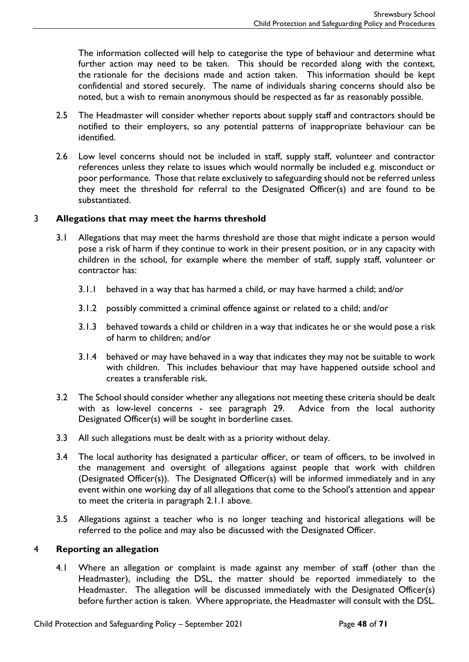The information collected will help to categorise the type of behaviour and determine what further action may need to be taken. This should be recorded along with the context, the rationale for the decisions made and action taken. This information should be kept confidential and stored securely. The name of individuals sharing concerns should also be noted, but a wish to remain anonymous should be respected as far as reasonably possible.

- 2.5 The Headmaster will consider whether reports about supply staff and contractors should be notified to their employers, so any potential patterns of inappropriate behaviour can be identified.
- 2.6 Low level concerns should not be included in staff, supply staff, volunteer and contractor references unless they relate to issues which would normally be included e.g. misconduct or poor performance. Those that relate exclusively to safeguarding should not be referred unless they meet the threshold for referral to the Designated Officer(s) and are found to be substantiated.

#### 3 **Allegations that may meet the harms threshold**

- 3.1 Allegations that may meet the harms threshold are those that might indicate a person would pose a risk of harm if they continue to work in their present position, or in any capacity with children in the school, for example where the member of staff, supply staff, volunteer or contractor has:
	- 3.1.1 behaved in a way that has harmed a child, or may have harmed a child; and/or
	- 3.1.2 possibly committed a criminal offence against or related to a child; and/or
	- 3.1.3 behaved towards a child or children in a way that indicates he or she would pose a risk of harm to children; and/or
	- 3.1.4 behaved or may have behaved in a way that indicates they may not be suitable to work with children. This includes behaviour that may have happened outside school and creates a transferable risk.
- 3.2 The School should consider whether any allegations not meeting these criteria should be dealt with as low-level concerns - see paragraph 29. Advice from the local authority Designated Officer(s) will be sought in borderline cases.
- 3.3 All such allegations must be dealt with as a priority without delay.
- 3.4 The local authority has designated a particular officer, or team of officers, to be involved in the management and oversight of allegations against people that work with children (Designated Officer(s)). The Designated Officer(s) will be informed immediately and in any event within one working day of all allegations that come to the School's attention and appear to meet the criteria in paragraph 2.1.1 above.
- 3.5 Allegations against a teacher who is no longer teaching and historical allegations will be referred to the police and may also be discussed with the Designated Officer.

#### 4 **Reporting an allegation**

4.1 Where an allegation or complaint is made against any member of staff (other than the Headmaster), including the DSL, the matter should be reported immediately to the Headmaster. The allegation will be discussed immediately with the Designated Officer(s) before further action is taken. Where appropriate, the Headmaster will consult with the DSL.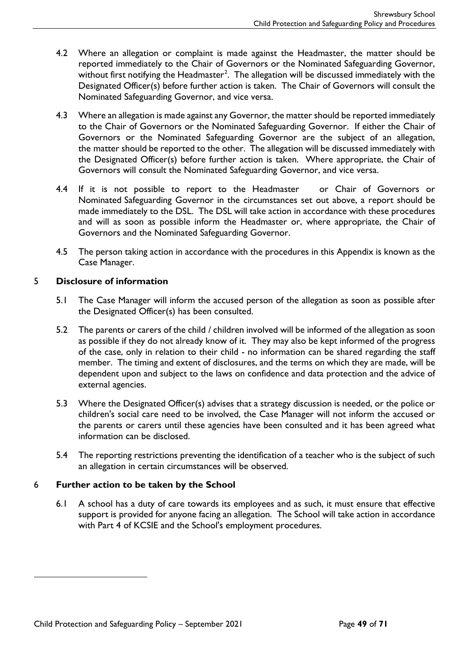- 4.2 Where an allegation or complaint is made against the Headmaster, the matter should be reported immediately to the Chair of Governors or the Nominated Safeguarding Governor, without first notifying the Headmaster $^2$  $^2$ . The allegation will be discussed immediately with the Designated Officer(s) before further action is taken. The Chair of Governors will consult the Nominated Safeguarding Governor, and vice versa.
- 4.3 Where an allegation is made against any Governor, the matter should be reported immediately to the Chair of Governors or the Nominated Safeguarding Governor. If either the Chair of Governors or the Nominated Safeguarding Governor are the subject of an allegation, the matter should be reported to the other. The allegation will be discussed immediately with the Designated Officer(s) before further action is taken. Where appropriate, the Chair of Governors will consult the Nominated Safeguarding Governor, and vice versa.
- 4.4 If it is not possible to report to the Headmaster or Chair of Governors or Nominated Safeguarding Governor in the circumstances set out above, a report should be made immediately to the DSL. The DSL will take action in accordance with these procedures and will as soon as possible inform the Headmaster or, where appropriate, the Chair of Governors and the Nominated Safeguarding Governor.
- 4.5 The person taking action in accordance with the procedures in this Appendix is known as the Case Manager.

#### 5 **Disclosure of information**

- 5.1 The Case Manager will inform the accused person of the allegation as soon as possible after the Designated Officer(s) has been consulted.
- 5.2 The parents or carers of the child / children involved will be informed of the allegation as soon as possible if they do not already know of it. They may also be kept informed of the progress of the case, only in relation to their child - no information can be shared regarding the staff member. The timing and extent of disclosures, and the terms on which they are made, will be dependent upon and subject to the laws on confidence and data protection and the advice of external agencies.
- 5.3 Where the Designated Officer(s) advises that a strategy discussion is needed, or the police or children's social care need to be involved, the Case Manager will not inform the accused or the parents or carers until these agencies have been consulted and it has been agreed what information can be disclosed.
- 5.4 The reporting restrictions preventing the identification of a teacher who is the subject of such an allegation in certain circumstances will be observed.

#### 6 **Further action to be taken by the School**

<span id="page-48-0"></span>6.1 A school has a duty of care towards its employees and as such, it must ensure that effective support is provided for anyone facing an allegation. The School will take action in accordance with Part 4 of KCSIE and the School's employment procedures.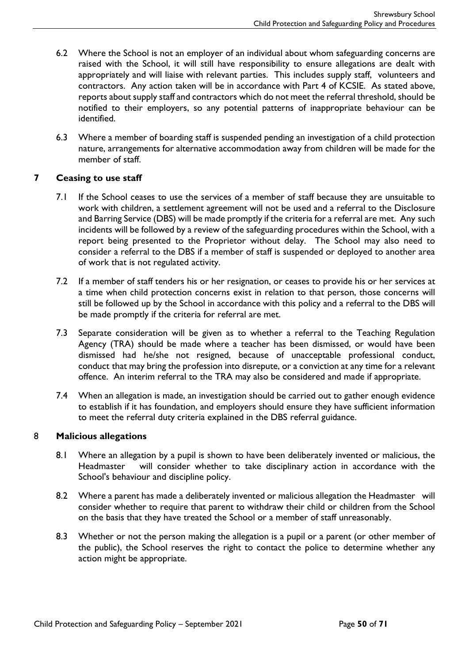- 6.2 Where the School is not an employer of an individual about whom safeguarding concerns are raised with the School, it will still have responsibility to ensure allegations are dealt with appropriately and will liaise with relevant parties. This includes supply staff, volunteers and contractors. Any action taken will be in accordance with Part 4 of KCSIE. As stated above, reports about supply staff and contractors which do not meet the referral threshold, should be notified to their employers, so any potential patterns of inappropriate behaviour can be identified.
- 6.3 Where a member of boarding staff is suspended pending an investigation of a child protection nature, arrangements for alternative accommodation away from children will be made for the member of staff.

#### **7 Ceasing to use staff**

- 7.1 If the School ceases to use the services of a member of staff because they are unsuitable to work with children, a settlement agreement will not be used and a referral to the Disclosure and Barring Service (DBS) will be made promptly if the criteria for a referral are met. Any such incidents will be followed by a review of the safeguarding procedures within the School, with a report being presented to the Proprietor without delay. The School may also need to consider a referral to the DBS if a member of staff is suspended or deployed to another area of work that is not regulated activity.
- 7.2 If a member of staff tenders his or her resignation, or ceases to provide his or her services at a time when child protection concerns exist in relation to that person, those concerns will still be followed up by the School in accordance with this policy and a referral to the DBS will be made promptly if the criteria for referral are met.
- 7.3 Separate consideration will be given as to whether a referral to the Teaching Regulation Agency (TRA) should be made where a teacher has been dismissed, or would have been dismissed had he/she not resigned, because of unacceptable professional conduct, conduct that may bring the profession into disrepute, or a conviction at any time for a relevant offence. An interim referral to the TRA may also be considered and made if appropriate.
- 7.4 When an allegation is made, an investigation should be carried out to gather enough evidence to establish if it has foundation, and employers should ensure they have sufficient information to meet the referral duty criteria explained in the DBS referral guidance.

#### 8 **Malicious allegations**

- 8.1 Where an allegation by a pupil is shown to have been deliberately invented or malicious, the Headmaster will consider whether to take disciplinary action in accordance with the School's behaviour and discipline policy.
- 8.2 Where a parent has made a deliberately invented or malicious allegation the Headmaster will consider whether to require that parent to withdraw their child or children from the School on the basis that they have treated the School or a member of staff unreasonably.
- 8.3 Whether or not the person making the allegation is a pupil or a parent (or other member of the public), the School reserves the right to contact the police to determine whether any action might be appropriate.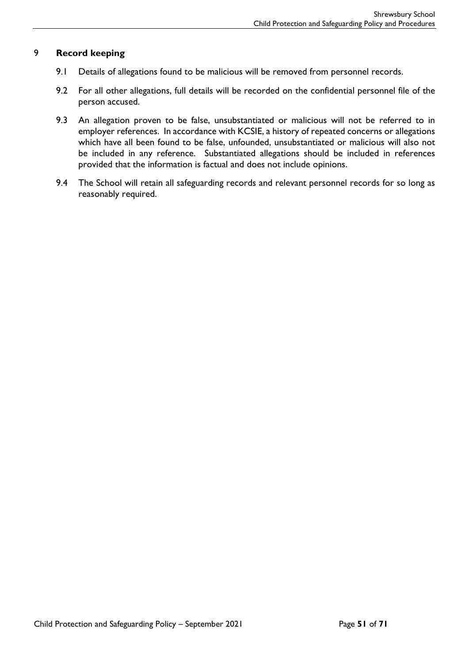## 9 **Record keeping**

- 9.1 Details of allegations found to be malicious will be removed from personnel records.
- 9.2 For all other allegations, full details will be recorded on the confidential personnel file of the person accused.
- 9.3 An allegation proven to be false, unsubstantiated or malicious will not be referred to in employer references. In accordance with KCSIE, a history of repeated concerns or allegations which have all been found to be false, unfounded, unsubstantiated or malicious will also not be included in any reference. Substantiated allegations should be included in references provided that the information is factual and does not include opinions.
- <span id="page-50-0"></span>9.4 The School will retain all safeguarding records and relevant personnel records for so long as reasonably required.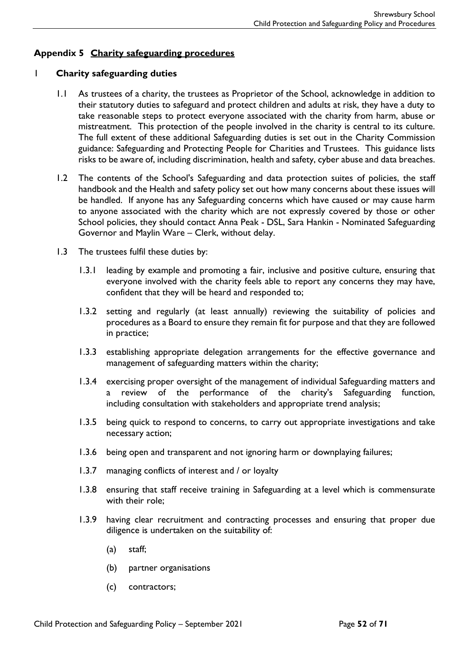# **Appendix 5 Charity safeguarding procedures**

## 1 **Charity safeguarding duties**

- 1.1 As trustees of a charity, the trustees as Proprietor of the School, acknowledge in addition to their statutory duties to safeguard and protect children and adults at risk, they have a duty to take reasonable steps to protect everyone associated with the charity from harm, abuse or mistreatment. This protection of the people involved in the charity is central to its culture. The full extent of these additional Safeguarding duties is set out in the Charity Commission guidance: Safeguarding and Protecting People for Charities and Trustees. This guidance lists risks to be aware of, including discrimination, health and safety, cyber abuse and data breaches.
- 1.2 The contents of the School's Safeguarding and data protection suites of policies, the staff handbook and the Health and safety policy set out how many concerns about these issues will be handled. If anyone has any Safeguarding concerns which have caused or may cause harm to anyone associated with the charity which are not expressly covered by those or other School policies, they should contact Anna Peak - DSL, Sara Hankin - Nominated Safeguarding Governor and Maylin Ware – Clerk, without delay.
- 1.3 The trustees fulfil these duties by:
	- 1.3.1 leading by example and promoting a fair, inclusive and positive culture, ensuring that everyone involved with the charity feels able to report any concerns they may have, confident that they will be heard and responded to;
	- 1.3.2 setting and regularly (at least annually) reviewing the suitability of policies and procedures as a Board to ensure they remain fit for purpose and that they are followed in practice;
	- 1.3.3 establishing appropriate delegation arrangements for the effective governance and management of safeguarding matters within the charity;
	- 1.3.4 exercising proper oversight of the management of individual Safeguarding matters and a review of the performance of the charity's Safeguarding function, including consultation with stakeholders and appropriate trend analysis;
	- 1.3.5 being quick to respond to concerns, to carry out appropriate investigations and take necessary action;
	- 1.3.6 being open and transparent and not ignoring harm or downplaying failures;
	- 1.3.7 managing conflicts of interest and / or loyalty
	- 1.3.8 ensuring that staff receive training in Safeguarding at a level which is commensurate with their role;
	- 1.3.9 having clear recruitment and contracting processes and ensuring that proper due diligence is undertaken on the suitability of:
		- (a) staff;
		- (b) partner organisations
		- (c) contractors;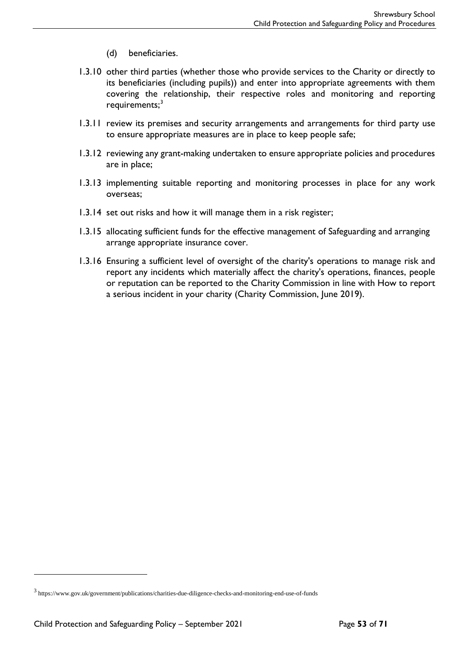- (d) beneficiaries.
- 1.3.10 other third parties (whether those who provide services to the Charity or directly to its beneficiaries (including pupils)) and enter into appropriate agreements with them covering the relationship, their respective roles and monitoring and reporting requirements; $3$
- 1.3.11 review its premises and security arrangements and arrangements for third party use to ensure appropriate measures are in place to keep people safe;
- 1.3.12 reviewing any grant-making undertaken to ensure appropriate policies and procedures are in place;
- 1.3.13 implementing suitable reporting and monitoring processes in place for any work overseas;
- 1.3.14 set out risks and how it will manage them in a risk register;
- 1.3.15 allocating sufficient funds for the effective management of Safeguarding and arranging arrange appropriate insurance cover.
- 1.3.16 Ensuring a sufficient level of oversight of the charity's operations to manage risk and report any incidents which materially affect the charity's operations, finances, people or reputation can be reported to the Charity Commission in line with How to report a serious incident in your charity (Charity Commission, June 2019).

<span id="page-52-0"></span><sup>3</sup> https://www.gov.uk/government/publications/charities-due-diligence-checks-and-monitoring-end-use-of-funds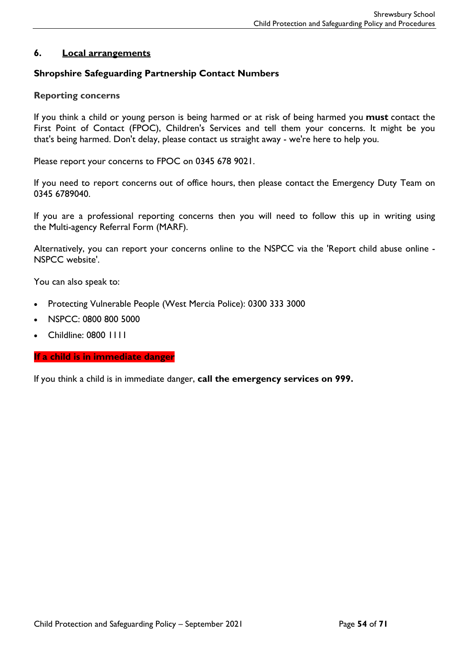# **6. Local arrangements**

## **Shropshire Safeguarding Partnership Contact Numbers**

#### **Reporting concerns**

If you think a child or young person is being harmed or at risk of being harmed you **must** contact the First Point of Contact (FPOC), Children's Services and tell them your concerns. It might be you that's being harmed. Don't delay, please contact us straight away - we're here to help you.

Please report your concerns to FPOC on 0345 678 9021.

If you need to report concerns out of office hours, then please contact the Emergency Duty Team on 0345 6789040.

If you are a professional reporting concerns then you will need to follow this up in writing using the [Multi-agency Referral Form \(MARF\).](http://westmidlands.procedures.org.uk/local-content/zgjN/multi-agency-referral-reporting-concerns-marf/?b=Shropshire)

Alternatively, you can report your concerns online to the NSPCC via the ['Report child abuse online -](http://www.nspcc.org.uk/what-you-can-do/report-abuse/) [NSPCC website'.](http://www.nspcc.org.uk/what-you-can-do/report-abuse/)

You can also speak to:

- Protecting Vulnerable People (West Mercia Police): 0300 333 3000
- NSPCC: 0800 800 5000
- Childline: 0800 1111

**If a child is in immediate danger**

If you think a child is in immediate danger, **call the emergency services on 999.**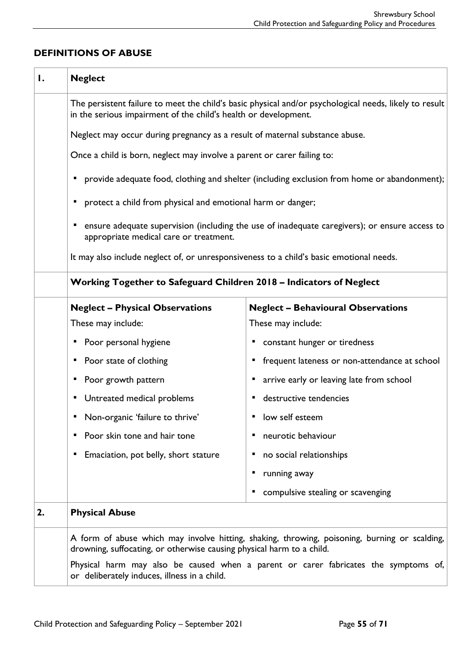# **DEFINITIONS OF ABUSE**

| Ι. | <b>Neglect</b>                                                                                                                                                            |                                                                                               |  |  |
|----|---------------------------------------------------------------------------------------------------------------------------------------------------------------------------|-----------------------------------------------------------------------------------------------|--|--|
|    | The persistent failure to meet the child's basic physical and/or psychological needs, likely to result<br>in the serious impairment of the child's health or development. |                                                                                               |  |  |
|    | Neglect may occur during pregnancy as a result of maternal substance abuse.                                                                                               |                                                                                               |  |  |
|    | Once a child is born, neglect may involve a parent or carer failing to:                                                                                                   |                                                                                               |  |  |
|    | provide adequate food, clothing and shelter (including exclusion from home or abandonment);<br>Π.                                                                         |                                                                                               |  |  |
|    | п                                                                                                                                                                         | protect a child from physical and emotional harm or danger;                                   |  |  |
|    | п<br>appropriate medical care or treatment.                                                                                                                               | ensure adequate supervision (including the use of inadequate caregivers); or ensure access to |  |  |
|    | It may also include neglect of, or unresponsiveness to a child's basic emotional needs.                                                                                   |                                                                                               |  |  |
|    | Working Together to Safeguard Children 2018 - Indicators of Neglect                                                                                                       |                                                                                               |  |  |
|    | <b>Neglect - Physical Observations</b>                                                                                                                                    | <b>Neglect - Behavioural Observations</b>                                                     |  |  |
|    | These may include:                                                                                                                                                        | These may include:                                                                            |  |  |
|    | Poor personal hygiene                                                                                                                                                     | constant hunger or tiredness                                                                  |  |  |
|    | Poor state of clothing                                                                                                                                                    | frequent lateness or non-attendance at school                                                 |  |  |
|    | Poor growth pattern                                                                                                                                                       | arrive early or leaving late from school                                                      |  |  |
|    | Untreated medical problems<br>п                                                                                                                                           | destructive tendencies                                                                        |  |  |
|    | Non-organic 'failure to thrive'                                                                                                                                           | low self esteem                                                                               |  |  |
|    | Poor skin tone and hair tone<br>٠                                                                                                                                         | neurotic behaviour                                                                            |  |  |
|    | Emaciation, pot belly, short stature<br>п                                                                                                                                 | no social relationships                                                                       |  |  |
|    |                                                                                                                                                                           | running away                                                                                  |  |  |
|    |                                                                                                                                                                           | compulsive stealing or scavenging                                                             |  |  |
| 2. | <b>Physical Abuse</b>                                                                                                                                                     |                                                                                               |  |  |
|    | A form of abuse which may involve hitting, shaking, throwing, poisoning, burning or scalding,<br>drowning, suffocating, or otherwise causing physical harm to a child.    |                                                                                               |  |  |
|    | Physical harm may also be caused when a parent or carer fabricates the symptoms of,<br>or deliberately induces, illness in a child.                                       |                                                                                               |  |  |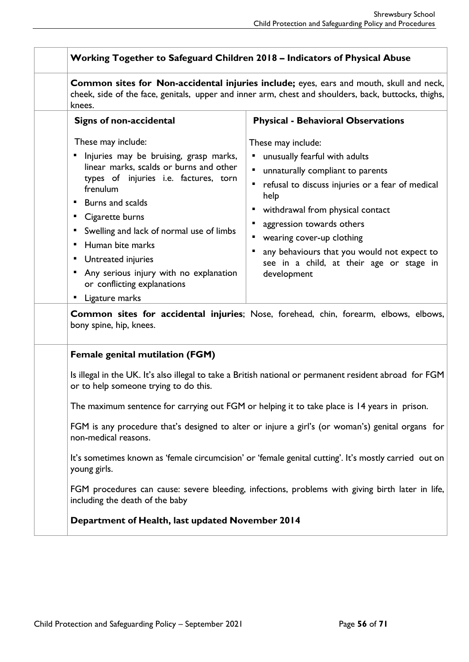| <b>Signs of non-accidental</b><br><b>Physical - Behavioral Observations</b><br>These may include:<br>These may include:<br>Injuries may be bruising, grasp marks,<br>unusually fearful with adults<br>linear marks, scalds or burns and other<br>unnaturally compliant to parents<br>types of injuries i.e. factures, torn<br>refusal to discuss injuries or a fear of medical<br>frenulum<br>help<br>• Burns and scalds<br>withdrawal from physical contact<br>Cigarette burns<br>٠<br>aggression towards others<br>Swelling and lack of normal use of limbs<br>٠<br>wearing cover-up clothing<br>Human bite marks<br>٠<br>any behaviours that you would not expect to<br><b>Untreated injuries</b><br>see in a child, at their age or stage in<br>Any serious injury with no explanation<br>development<br>or conflicting explanations<br>" Ligature marks<br><b>Common sites for accidental injuries</b> ; Nose, forehead, chin, forearm, elbows, elbows,<br>bony spine, hip, knees.<br><b>Female genital mutilation (FGM)</b><br>Is illegal in the UK. It's also illegal to take a British national or permanent resident abroad for FGM<br>or to help someone trying to do this.<br>The maximum sentence for carrying out FGM or helping it to take place is 14 years in prison.<br>FGM is any procedure that's designed to alter or injure a girl's (or woman's) genital organs for<br>non-medical reasons.<br>It's sometimes known as 'female circumcision' or 'female genital cutting'. It's mostly carried out on<br>young girls.<br>FGM procedures can cause: severe bleeding, infections, problems with giving birth later in life,<br>including the death of the baby | <b>Common sites for Non-accidental injuries include;</b> eyes, ears and mouth, skull and neck,<br>cheek, side of the face, genitals, upper and inner arm, chest and shoulders, back, buttocks, thighs,<br>knees. |  |  |
|-----------------------------------------------------------------------------------------------------------------------------------------------------------------------------------------------------------------------------------------------------------------------------------------------------------------------------------------------------------------------------------------------------------------------------------------------------------------------------------------------------------------------------------------------------------------------------------------------------------------------------------------------------------------------------------------------------------------------------------------------------------------------------------------------------------------------------------------------------------------------------------------------------------------------------------------------------------------------------------------------------------------------------------------------------------------------------------------------------------------------------------------------------------------------------------------------------------------------------------------------------------------------------------------------------------------------------------------------------------------------------------------------------------------------------------------------------------------------------------------------------------------------------------------------------------------------------------------------------------------------------------------------------------------------------------|------------------------------------------------------------------------------------------------------------------------------------------------------------------------------------------------------------------|--|--|
|                                                                                                                                                                                                                                                                                                                                                                                                                                                                                                                                                                                                                                                                                                                                                                                                                                                                                                                                                                                                                                                                                                                                                                                                                                                                                                                                                                                                                                                                                                                                                                                                                                                                                   |                                                                                                                                                                                                                  |  |  |
|                                                                                                                                                                                                                                                                                                                                                                                                                                                                                                                                                                                                                                                                                                                                                                                                                                                                                                                                                                                                                                                                                                                                                                                                                                                                                                                                                                                                                                                                                                                                                                                                                                                                                   |                                                                                                                                                                                                                  |  |  |
|                                                                                                                                                                                                                                                                                                                                                                                                                                                                                                                                                                                                                                                                                                                                                                                                                                                                                                                                                                                                                                                                                                                                                                                                                                                                                                                                                                                                                                                                                                                                                                                                                                                                                   |                                                                                                                                                                                                                  |  |  |
|                                                                                                                                                                                                                                                                                                                                                                                                                                                                                                                                                                                                                                                                                                                                                                                                                                                                                                                                                                                                                                                                                                                                                                                                                                                                                                                                                                                                                                                                                                                                                                                                                                                                                   |                                                                                                                                                                                                                  |  |  |
|                                                                                                                                                                                                                                                                                                                                                                                                                                                                                                                                                                                                                                                                                                                                                                                                                                                                                                                                                                                                                                                                                                                                                                                                                                                                                                                                                                                                                                                                                                                                                                                                                                                                                   |                                                                                                                                                                                                                  |  |  |
|                                                                                                                                                                                                                                                                                                                                                                                                                                                                                                                                                                                                                                                                                                                                                                                                                                                                                                                                                                                                                                                                                                                                                                                                                                                                                                                                                                                                                                                                                                                                                                                                                                                                                   |                                                                                                                                                                                                                  |  |  |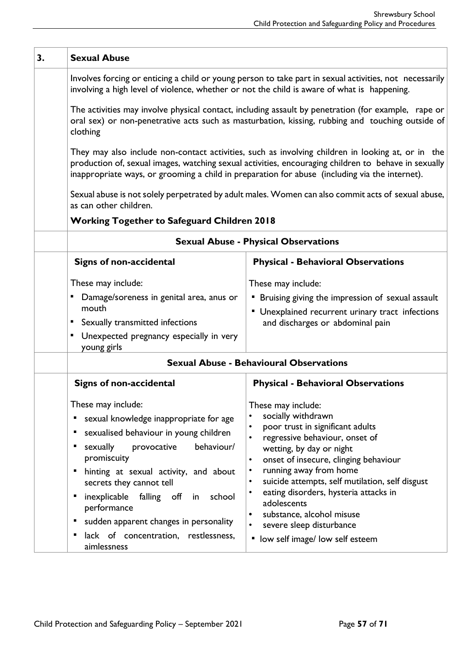| 3. | <b>Sexual Abuse</b>                                                                                                                                                                                                                                                                                                                                                    |                                                                                                                                                                                                                                                                                                                                                                                        |  |
|----|------------------------------------------------------------------------------------------------------------------------------------------------------------------------------------------------------------------------------------------------------------------------------------------------------------------------------------------------------------------------|----------------------------------------------------------------------------------------------------------------------------------------------------------------------------------------------------------------------------------------------------------------------------------------------------------------------------------------------------------------------------------------|--|
|    | Involves forcing or enticing a child or young person to take part in sexual activities, not necessarily<br>involving a high level of violence, whether or not the child is aware of what is happening.                                                                                                                                                                 |                                                                                                                                                                                                                                                                                                                                                                                        |  |
|    | The activities may involve physical contact, including assault by penetration (for example, rape or<br>oral sex) or non-penetrative acts such as masturbation, kissing, rubbing and touching outside of<br>clothing                                                                                                                                                    |                                                                                                                                                                                                                                                                                                                                                                                        |  |
|    | They may also include non-contact activities, such as involving children in looking at, or in the<br>production of, sexual images, watching sexual activities, encouraging children to behave in sexually<br>inappropriate ways, or grooming a child in preparation for abuse (including via the internet).                                                            |                                                                                                                                                                                                                                                                                                                                                                                        |  |
|    | as can other children.                                                                                                                                                                                                                                                                                                                                                 | Sexual abuse is not solely perpetrated by adult males. Women can also commit acts of sexual abuse,                                                                                                                                                                                                                                                                                     |  |
|    | <b>Working Together to Safeguard Children 2018</b>                                                                                                                                                                                                                                                                                                                     |                                                                                                                                                                                                                                                                                                                                                                                        |  |
|    |                                                                                                                                                                                                                                                                                                                                                                        | <b>Sexual Abuse - Physical Observations</b>                                                                                                                                                                                                                                                                                                                                            |  |
|    | <b>Signs of non-accidental</b>                                                                                                                                                                                                                                                                                                                                         | <b>Physical - Behavioral Observations</b>                                                                                                                                                                                                                                                                                                                                              |  |
|    | These may include:                                                                                                                                                                                                                                                                                                                                                     | These may include:                                                                                                                                                                                                                                                                                                                                                                     |  |
|    | Damage/soreness in genital area, anus or<br>mouth                                                                                                                                                                                                                                                                                                                      | <b>• Bruising giving the impression of sexual assault</b><br>• Unexplained recurrent urinary tract infections                                                                                                                                                                                                                                                                          |  |
|    | <b>Sexually transmitted infections</b>                                                                                                                                                                                                                                                                                                                                 | and discharges or abdominal pain                                                                                                                                                                                                                                                                                                                                                       |  |
|    | • Unexpected pregnancy especially in very<br>young girls                                                                                                                                                                                                                                                                                                               |                                                                                                                                                                                                                                                                                                                                                                                        |  |
|    |                                                                                                                                                                                                                                                                                                                                                                        | <b>Sexual Abuse - Behavioural Observations</b>                                                                                                                                                                                                                                                                                                                                         |  |
|    | <b>Signs of non-accidental</b>                                                                                                                                                                                                                                                                                                                                         | <b>Physical - Behavioral Observations</b>                                                                                                                                                                                                                                                                                                                                              |  |
|    | These may include:<br>sexual knowledge inappropriate for age<br>Ξ<br>sexualised behaviour in young children<br>Ξ<br>sexually<br>provocative<br>behaviour/<br>Е<br>promiscuity<br>hinting at sexual activity, and about<br>Ξ<br>secrets they cannot tell<br>inexplicable<br>falling off in<br>school<br>Ξ<br>performance<br>sudden apparent changes in personality<br>Е | These may include:<br>socially withdrawn<br>poor trust in significant adults<br>regressive behaviour, onset of<br>wetting, by day or night<br>onset of insecure, clinging behaviour<br>٠<br>running away from home<br>suicide attempts, self mutilation, self disgust<br>eating disorders, hysteria attacks in<br>adolescents<br>substance, alcohol misuse<br>severe sleep disturbance |  |
|    | lack of concentration, restlessness,<br>Е<br>aimlessness                                                                                                                                                                                                                                                                                                               | low self image/ low self esteem<br>п                                                                                                                                                                                                                                                                                                                                                   |  |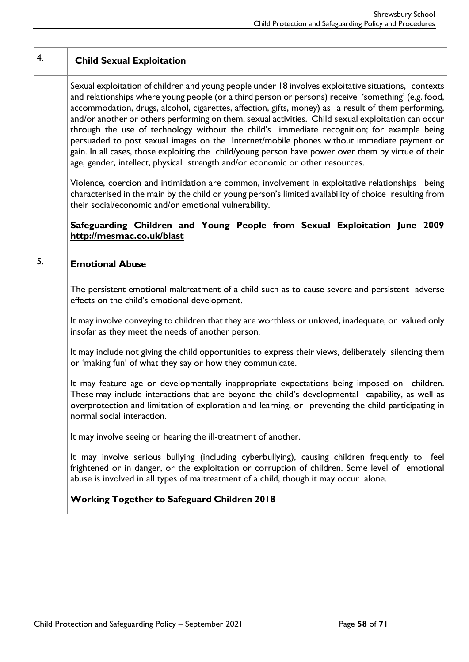| 4. | <b>Child Sexual Exploitation</b>                                                                                                                                                                                                                                                                                                                                                                                                                                                                                                                                                                                                                                                                                                                                                                              |  |
|----|---------------------------------------------------------------------------------------------------------------------------------------------------------------------------------------------------------------------------------------------------------------------------------------------------------------------------------------------------------------------------------------------------------------------------------------------------------------------------------------------------------------------------------------------------------------------------------------------------------------------------------------------------------------------------------------------------------------------------------------------------------------------------------------------------------------|--|
|    | Sexual exploitation of children and young people under 18 involves exploitative situations, contexts<br>and relationships where young people (or a third person or persons) receive 'something' (e.g. food,<br>accommodation, drugs, alcohol, cigarettes, affection, gifts, money) as a result of them performing,<br>and/or another or others performing on them, sexual activities. Child sexual exploitation can occur<br>through the use of technology without the child's immediate recognition; for example being<br>persuaded to post sexual images on the Internet/mobile phones without immediate payment or<br>gain. In all cases, those exploiting the child/young person have power over them by virtue of their<br>age, gender, intellect, physical strength and/or economic or other resources. |  |
|    | Violence, coercion and intimidation are common, involvement in exploitative relationships being<br>characterised in the main by the child or young person's limited availability of choice resulting from<br>their social/economic and/or emotional vulnerability.                                                                                                                                                                                                                                                                                                                                                                                                                                                                                                                                            |  |
|    | Safeguarding Children and Young People from Sexual Exploitation June 2009<br>http://mesmac.co.uk/blast                                                                                                                                                                                                                                                                                                                                                                                                                                                                                                                                                                                                                                                                                                        |  |
| 5. | <b>Emotional Abuse</b>                                                                                                                                                                                                                                                                                                                                                                                                                                                                                                                                                                                                                                                                                                                                                                                        |  |
|    | The persistent emotional maltreatment of a child such as to cause severe and persistent adverse<br>effects on the child's emotional development.                                                                                                                                                                                                                                                                                                                                                                                                                                                                                                                                                                                                                                                              |  |
|    | It may involve conveying to children that they are worthless or unloved, inadequate, or valued only<br>insofar as they meet the needs of another person.                                                                                                                                                                                                                                                                                                                                                                                                                                                                                                                                                                                                                                                      |  |
|    | It may include not giving the child opportunities to express their views, deliberately silencing them<br>or 'making fun' of what they say or how they communicate.                                                                                                                                                                                                                                                                                                                                                                                                                                                                                                                                                                                                                                            |  |
|    | It may feature age or developmentally inappropriate expectations being imposed on children.<br>These may include interactions that are beyond the child's developmental capability, as well as<br>overprotection and limitation of exploration and learning, or preventing the child participating in<br>normal social interaction.                                                                                                                                                                                                                                                                                                                                                                                                                                                                           |  |
|    | It may involve seeing or hearing the ill-treatment of another.                                                                                                                                                                                                                                                                                                                                                                                                                                                                                                                                                                                                                                                                                                                                                |  |
|    | It may involve serious bullying (including cyberbullying), causing children frequently to feel<br>frightened or in danger, or the exploitation or corruption of children. Some level of emotional<br>abuse is involved in all types of maltreatment of a child, though it may occur alone.                                                                                                                                                                                                                                                                                                                                                                                                                                                                                                                    |  |
|    | <b>Working Together to Safeguard Children 2018</b>                                                                                                                                                                                                                                                                                                                                                                                                                                                                                                                                                                                                                                                                                                                                                            |  |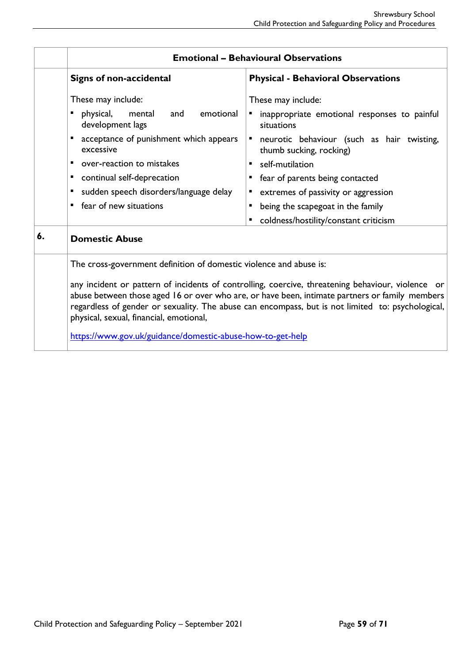|    | <b>Emotional - Behavioural Observations</b>                                                                                                                                                                                                                                                                                                                                                                                                                                             |                                                                                                                                                                                                                                                                                                  |  |
|----|-----------------------------------------------------------------------------------------------------------------------------------------------------------------------------------------------------------------------------------------------------------------------------------------------------------------------------------------------------------------------------------------------------------------------------------------------------------------------------------------|--------------------------------------------------------------------------------------------------------------------------------------------------------------------------------------------------------------------------------------------------------------------------------------------------|--|
|    | Signs of non-accidental                                                                                                                                                                                                                                                                                                                                                                                                                                                                 | <b>Physical - Behavioral Observations</b>                                                                                                                                                                                                                                                        |  |
|    | These may include:<br>emotional<br>physical,<br>mental<br>and<br>development lags<br>acceptance of punishment which appears<br>excessive<br>over-reaction to mistakes<br>continual self-deprecation<br>п<br>sudden speech disorders/language delay<br>fear of new situations                                                                                                                                                                                                            | These may include:<br>inappropriate emotional responses to painful<br>situations<br>neurotic behaviour (such as hair twisting,<br>thumb sucking, rocking)<br>self-mutilation<br>fear of parents being contacted<br>extremes of passivity or aggression<br>٠<br>being the scapegoat in the family |  |
| 6. | <b>Domestic Abuse</b>                                                                                                                                                                                                                                                                                                                                                                                                                                                                   | coldness/hostility/constant criticism<br>п                                                                                                                                                                                                                                                       |  |
|    |                                                                                                                                                                                                                                                                                                                                                                                                                                                                                         |                                                                                                                                                                                                                                                                                                  |  |
|    | The cross-government definition of domestic violence and abuse is:<br>any incident or pattern of incidents of controlling, coercive, threatening behaviour, violence or<br>abuse between those aged 16 or over who are, or have been, intimate partners or family members<br>regardless of gender or sexuality. The abuse can encompass, but is not limited to: psychological,<br>physical, sexual, financial, emotional,<br>https://www.gov.uk/guidance/domestic-abuse-how-to-get-help |                                                                                                                                                                                                                                                                                                  |  |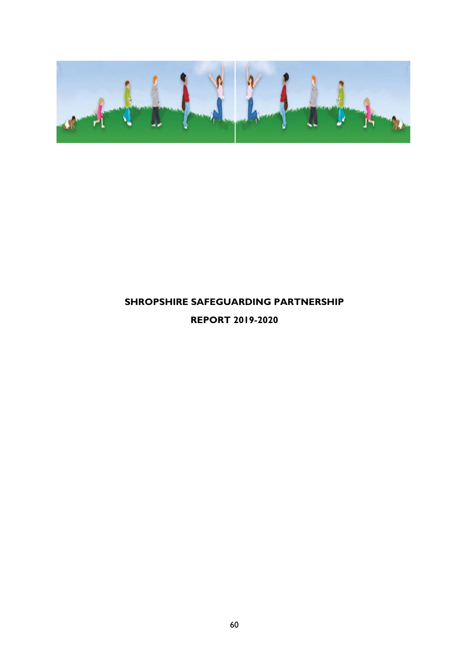

# **SHROPSHIRE SAFEGUARDING PARTNERSHIP**

# **REPORT 2019**‐**2020**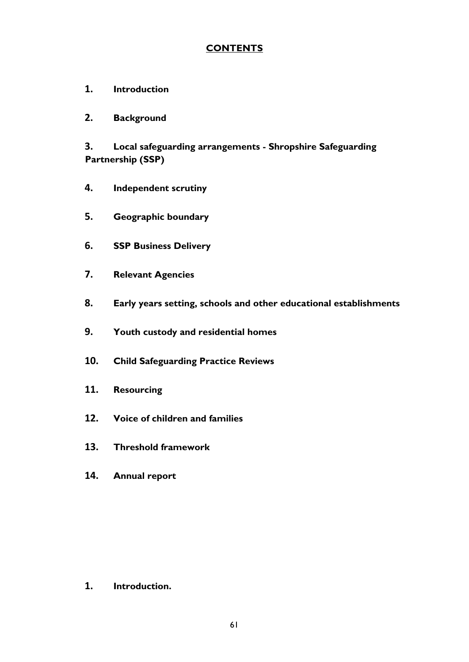# **CONTENTS**

- **1. Introduction**
- **2. Background**

**3. Local safeguarding arrangements** ‐ **Shropshire Safeguarding Partnership (SSP)** 

- **4. Independent scrutiny**
- **5. Geographic boundary**
- **6. SSP Business Delivery**
- **7. Relevant Agencies**
- **8. Early years setting, schools and other educational establishments**
- **9. Youth custody and residential homes**
- **10. Child Safeguarding Practice Reviews**
- **11. Resourcing**
- **12. Voice of children and families**
- **13. Threshold framework**
- **14. Annual report**

**1. Introduction.**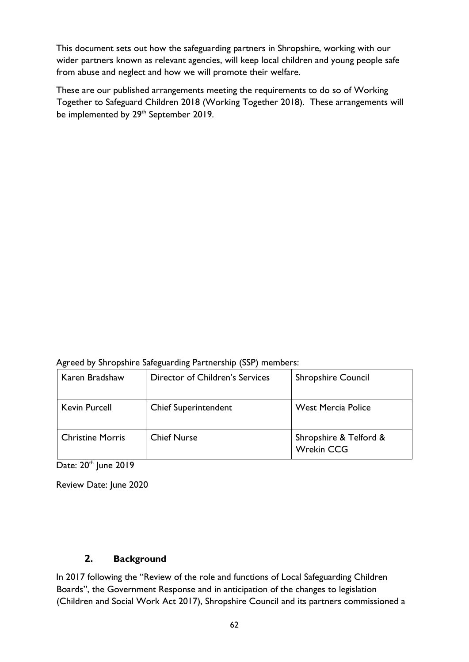This document sets out how the safeguarding partners in Shropshire, working with our wider partners known as relevant agencies, will keep local children and young people safe from abuse and neglect and how we will promote their welfare.

These are our published arrangements meeting the requirements to do so of Working Together to Safeguard Children 2018 (Working Together 2018). These arrangements will be implemented by 29<sup>th</sup> September 2019.

Agreed by Shropshire Safeguarding Partnership (SSP) members:

| Karen Bradshaw          | Director of Children's Services | <b>Shropshire Council</b>                   |
|-------------------------|---------------------------------|---------------------------------------------|
| <b>Kevin Purcell</b>    | <b>Chief Superintendent</b>     | <b>West Mercia Police</b>                   |
| <b>Christine Morris</b> | <b>Chief Nurse</b>              | Shropshire & Telford &<br><b>Wrekin CCG</b> |

Date: 20<sup>th</sup> June 2019

Review Date: June 2020

# **2. Background**

In 2017 following the "Review of the role and functions of Local Safeguarding Children Boards", the Government Response and in anticipation of the changes to legislation (Children and Social Work Act 2017), Shropshire Council and its partners commissioned a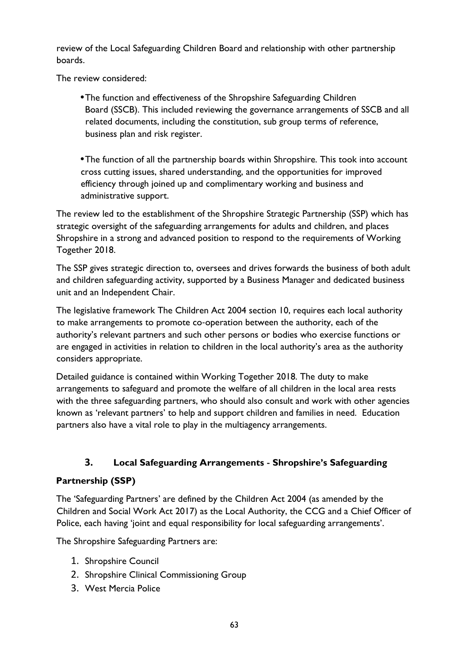review of the Local Safeguarding Children Board and relationship with other partnership boards.

The review considered:

•The function and effectiveness of the Shropshire Safeguarding Children Board (SSCB). This included reviewing the governance arrangements of SSCB and all related documents, including the constitution, sub group terms of reference, business plan and risk register.

•The function of all the partnership boards within Shropshire. This took into account cross cutting issues, shared understanding, and the opportunities for improved efficiency through joined up and complimentary working and business and administrative support.

The review led to the establishment of the Shropshire Strategic Partnership (SSP) which has strategic oversight of the safeguarding arrangements for adults and children, and places Shropshire in a strong and advanced position to respond to the requirements of Working Together 2018.

The SSP gives strategic direction to, oversees and drives forwards the business of both adult and children safeguarding activity, supported by a Business Manager and dedicated business unit and an Independent Chair.

The legislative framework The Children Act 2004 section 10, requires each local authority to make arrangements to promote co‐operation between the authority, each of the authority's relevant partners and such other persons or bodies who exercise functions or are engaged in activities in relation to children in the local authority's area as the authority considers appropriate.

Detailed guidance is contained within Working Together 2018. The duty to make arrangements to safeguard and promote the welfare of all children in the local area rests with the three safeguarding partners, who should also consult and work with other agencies known as 'relevant partners' to help and support children and families in need. Education partners also have a vital role to play in the multiagency arrangements.

# **3. Local Safeguarding Arrangements** ‐ **Shropshire's Safeguarding**

# **Partnership (SSP)**

The 'Safeguarding Partners' are defined by the Children Act 2004 (as amended by the Children and Social Work Act 2017) as the Local Authority, the CCG and a Chief Officer of Police, each having 'joint and equal responsibility for local safeguarding arrangements'.

The Shropshire Safeguarding Partners are:

- 1. Shropshire Council
- 2. Shropshire Clinical Commissioning Group
- 3. West Mercia Police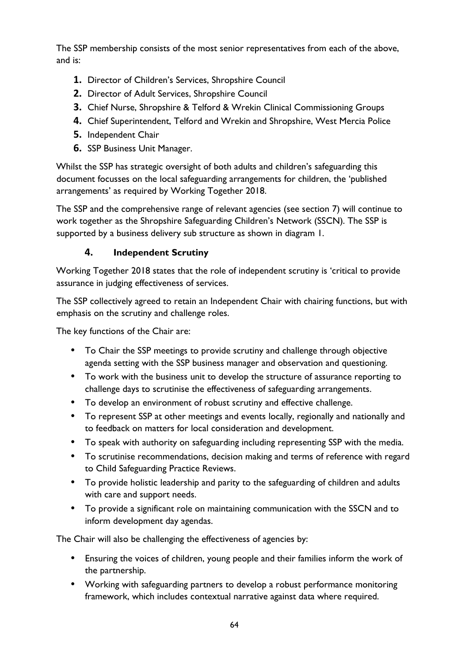The SSP membership consists of the most senior representatives from each of the above, and is:

- **1.** Director of Children's Services, Shropshire Council
- **2.** Director of Adult Services, Shropshire Council
- **3.** Chief Nurse, Shropshire & Telford & Wrekin Clinical Commissioning Groups
- **4.** Chief Superintendent, Telford and Wrekin and Shropshire, West Mercia Police
- **5.** Independent Chair
- **6.** SSP Business Unit Manager.

Whilst the SSP has strategic oversight of both adults and children's safeguarding this document focusses on the local safeguarding arrangements for children, the 'published arrangements' as required by Working Together 2018.

The SSP and the comprehensive range of relevant agencies (see section 7) will continue to work together as the Shropshire Safeguarding Children's Network (SSCN). The SSP is supported by a business delivery sub structure as shown in diagram 1.

# **4. Independent Scrutiny**

Working Together 2018 states that the role of independent scrutiny is 'critical to provide assurance in judging effectiveness of services.

The SSP collectively agreed to retain an Independent Chair with chairing functions, but with emphasis on the scrutiny and challenge roles.

The key functions of the Chair are:

- To Chair the SSP meetings to provide scrutiny and challenge through objective agenda setting with the SSP business manager and observation and questioning.
- To work with the business unit to develop the structure of assurance reporting to challenge days to scrutinise the effectiveness of safeguarding arrangements.
- To develop an environment of robust scrutiny and effective challenge.
- To represent SSP at other meetings and events locally, regionally and nationally and to feedback on matters for local consideration and development.
- To speak with authority on safeguarding including representing SSP with the media.
- To scrutinise recommendations, decision making and terms of reference with regard to Child Safeguarding Practice Reviews.
- To provide holistic leadership and parity to the safeguarding of children and adults with care and support needs.
- To provide a significant role on maintaining communication with the SSCN and to inform development day agendas.

The Chair will also be challenging the effectiveness of agencies by:

- Ensuring the voices of children, young people and their families inform the work of the partnership.
- Working with safeguarding partners to develop a robust performance monitoring framework, which includes contextual narrative against data where required.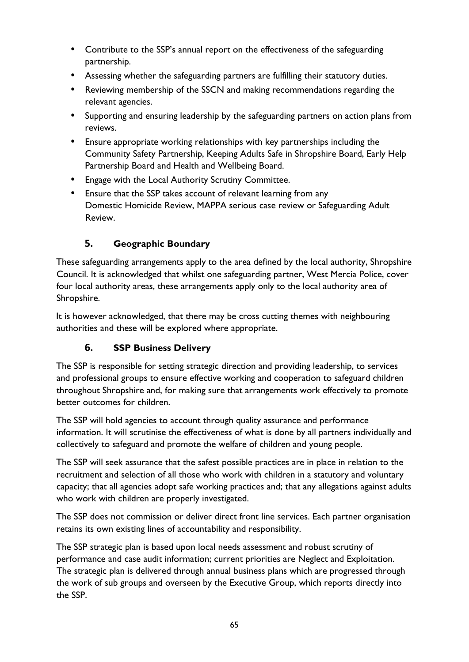- Contribute to the SSP's annual report on the effectiveness of the safeguarding partnership.
- Assessing whether the safeguarding partners are fulfilling their statutory duties.
- Reviewing membership of the SSCN and making recommendations regarding the relevant agencies.
- Supporting and ensuring leadership by the safeguarding partners on action plans from reviews.
- Ensure appropriate working relationships with key partnerships including the Community Safety Partnership, Keeping Adults Safe in Shropshire Board, Early Help Partnership Board and Health and Wellbeing Board.
- Engage with the Local Authority Scrutiny Committee.
- Ensure that the SSP takes account of relevant learning from any Domestic Homicide Review, MAPPA serious case review or Safeguarding Adult Review.

# **5. Geographic Boundary**

These safeguarding arrangements apply to the area defined by the local authority, Shropshire Council. It is acknowledged that whilst one safeguarding partner, West Mercia Police, cover four local authority areas, these arrangements apply only to the local authority area of Shropshire.

It is however acknowledged, that there may be cross cutting themes with neighbouring authorities and these will be explored where appropriate.

# **6. SSP Business Delivery**

The SSP is responsible for setting strategic direction and providing leadership, to services and professional groups to ensure effective working and cooperation to safeguard children throughout Shropshire and, for making sure that arrangements work effectively to promote better outcomes for children.

The SSP will hold agencies to account through quality assurance and performance information. It will scrutinise the effectiveness of what is done by all partners individually and collectively to safeguard and promote the welfare of children and young people.

The SSP will seek assurance that the safest possible practices are in place in relation to the recruitment and selection of all those who work with children in a statutory and voluntary capacity; that all agencies adopt safe working practices and; that any allegations against adults who work with children are properly investigated.

The SSP does not commission or deliver direct front line services. Each partner organisation retains its own existing lines of accountability and responsibility.

The SSP strategic plan is based upon local needs assessment and robust scrutiny of performance and case audit information; current priorities are Neglect and Exploitation. The strategic plan is delivered through annual business plans which are progressed through the work of sub groups and overseen by the Executive Group, which reports directly into the SSP.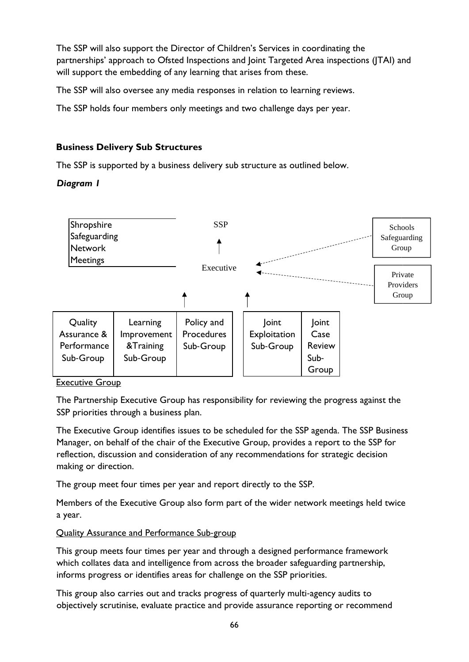The SSP will also support the Director of Children's Services in coordinating the partnerships' approach to Ofsted Inspections and Joint Targeted Area inspections (JTAI) and will support the embedding of any learning that arises from these.

The SSP will also oversee any media responses in relation to learning reviews.

The SSP holds four members only meetings and two challenge days per year.

# **Business Delivery Sub Structures**

The SSP is supported by a business delivery sub structure as outlined below.

*Diagram 1* 



Executive Group

The Partnership Executive Group has responsibility for reviewing the progress against the SSP priorities through a business plan.

The Executive Group identifies issues to be scheduled for the SSP agenda. The SSP Business Manager, on behalf of the chair of the Executive Group, provides a report to the SSP for reflection, discussion and consideration of any recommendations for strategic decision making or direction.

The group meet four times per year and report directly to the SSP.

Members of the Executive Group also form part of the wider network meetings held twice a year.

Quality Assurance and Performance Sub‐group

This group meets four times per year and through a designed performance framework which collates data and intelligence from across the broader safeguarding partnership, informs progress or identifies areas for challenge on the SSP priorities.

This group also carries out and tracks progress of quarterly multi‐agency audits to objectively scrutinise, evaluate practice and provide assurance reporting or recommend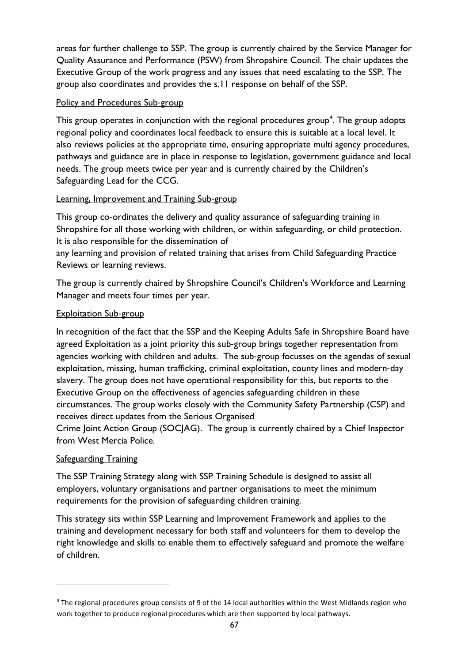areas for further challenge to SSP. The group is currently chaired by the Service Manager for Quality Assurance and Performance (PSW) from Shropshire Council. The chair updates the Executive Group of the work progress and any issues that need escalating to the SSP. The group also coordinates and provides the s.11 response on behalf of the SSP.

#### Policy and Procedures Sub-group

This group operates in conjunction with the regional procedures group $\hbox{}^4.$  $\hbox{}^4.$  $\hbox{}^4.$  The group adopts regional policy and coordinates local feedback to ensure this is suitable at a local level. It also reviews policies at the appropriate time, ensuring appropriate multi agency procedures, pathways and guidance are in place in response to legislation, government guidance and local needs. The group meets twice per year and is currently chaired by the Children's Safeguarding Lead for the CCG.

#### Learning, Improvement and Training Sub-group

This group co-ordinates the delivery and quality assurance of safeguarding training in Shropshire for all those working with children, or within safeguarding, or child protection. It is also responsible for the dissemination of

any learning and provision of related training that arises from Child Safeguarding Practice Reviews or learning reviews.

The group is currently chaired by Shropshire Council's Children's Workforce and Learning Manager and meets four times per year.

#### Exploitation Sub‐group

In recognition of the fact that the SSP and the Keeping Adults Safe in Shropshire Board have agreed Exploitation as a joint priority this sub‐group brings together representation from agencies working with children and adults. The sub‐group focusses on the agendas of sexual exploitation, missing, human trafficking, criminal exploitation, county lines and modern‐day slavery. The group does not have operational responsibility for this, but reports to the Executive Group on the effectiveness of agencies safeguarding children in these circumstances. The group works closely with the Community Safety Partnership (CSP) and receives direct updates from the Serious Organised

Crime Joint Action Group (SOCJAG). The group is currently chaired by a Chief Inspector from West Mercia Police.

#### Safeguarding Training

The SSP Training Strategy along with SSP Training Schedule is designed to assist all employers, voluntary organisations and partner organisations to meet the minimum requirements for the provision of safeguarding children training.

This strategy sits within SSP Learning and Improvement Framework and applies to the training and development necessary for both staff and volunteers for them to develop the right knowledge and skills to enable them to effectively safeguard and promote the welfare of children.

<span id="page-66-0"></span><sup>4</sup> The regional procedures group consists of 9 of the 14 local authorities within the West Midlands region who work together to produce regional procedures which are then supported by local pathways.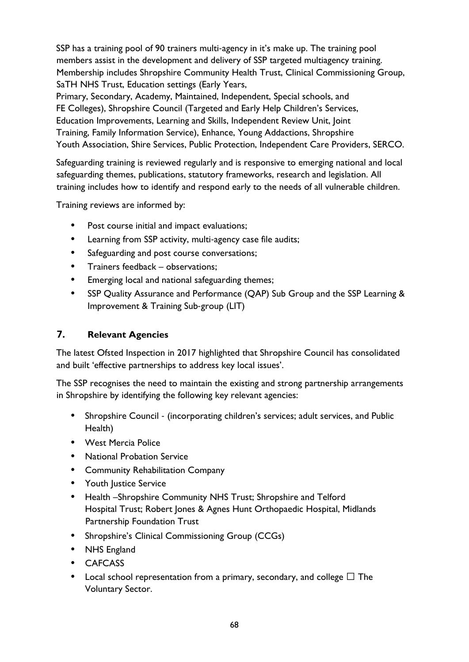SSP has a training pool of 90 trainers multi‐agency in it's make up. The training pool members assist in the development and delivery of SSP targeted multiagency training. Membership includes Shropshire Community Health Trust, Clinical Commissioning Group, SaTH NHS Trust, Education settings (Early Years,

Primary, Secondary, Academy, Maintained, Independent, Special schools, and FE Colleges), Shropshire Council (Targeted and Early Help Children's Services, Education Improvements, Learning and Skills, Independent Review Unit, Joint Training, Family Information Service), Enhance, Young Addactions, Shropshire Youth Association, Shire Services, Public Protection, Independent Care Providers, SERCO.

Safeguarding training is reviewed regularly and is responsive to emerging national and local safeguarding themes, publications, statutory frameworks, research and legislation. All training includes how to identify and respond early to the needs of all vulnerable children.

Training reviews are informed by:

- Post course initial and impact evaluations;
- Learning from SSP activity, multi-agency case file audits;
- Safeguarding and post course conversations;
- Trainers feedback observations;
- Emerging local and national safeguarding themes;
- SSP Quality Assurance and Performance (QAP) Sub Group and the SSP Learning & Improvement & Training Sub‐group (LIT)

# **7. Relevant Agencies**

The latest Ofsted Inspection in 2017 highlighted that Shropshire Council has consolidated and built 'effective partnerships to address key local issues'.

The SSP recognises the need to maintain the existing and strong partnership arrangements in Shropshire by identifying the following key relevant agencies:

- Shropshire Council (incorporating children's services; adult services, and Public Health)
- West Mercia Police
- National Probation Service
- Community Rehabilitation Company
- Youth Justice Service
- Health –Shropshire Community NHS Trust; Shropshire and Telford Hospital Trust; Robert Jones & Agnes Hunt Orthopaedic Hospital, Midlands Partnership Foundation Trust
- Shropshire's Clinical Commissioning Group (CCGs)
- NHS England
- CAFCASS
- Local school representation from a primary, secondary, and college  $\Box$  The Voluntary Sector.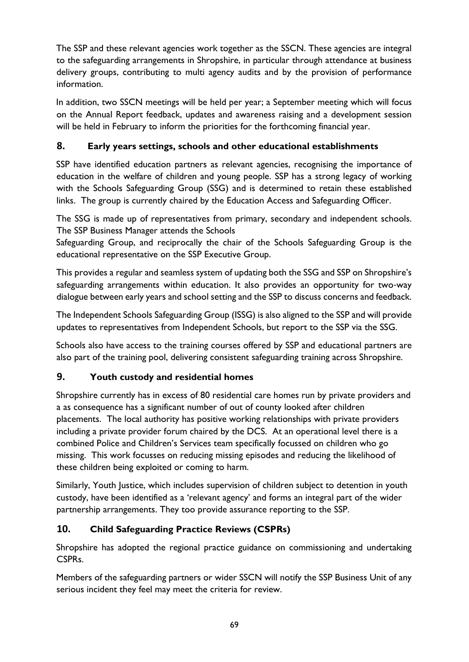The SSP and these relevant agencies work together as the SSCN. These agencies are integral to the safeguarding arrangements in Shropshire, in particular through attendance at business delivery groups, contributing to multi agency audits and by the provision of performance information.

In addition, two SSCN meetings will be held per year; a September meeting which will focus on the Annual Report feedback, updates and awareness raising and a development session will be held in February to inform the priorities for the forthcoming financial year.

# **8. Early years settings, schools and other educational establishments**

SSP have identified education partners as relevant agencies, recognising the importance of education in the welfare of children and young people. SSP has a strong legacy of working with the Schools Safeguarding Group (SSG) and is determined to retain these established links. The group is currently chaired by the Education Access and Safeguarding Officer.

The SSG is made up of representatives from primary, secondary and independent schools. The SSP Business Manager attends the Schools

Safeguarding Group, and reciprocally the chair of the Schools Safeguarding Group is the educational representative on the SSP Executive Group.

This provides a regular and seamless system of updating both the SSG and SSP on Shropshire's safeguarding arrangements within education. It also provides an opportunity for two-way dialogue between early years and school setting and the SSP to discuss concerns and feedback.

The Independent Schools Safeguarding Group (ISSG) is also aligned to the SSP and will provide updates to representatives from Independent Schools, but report to the SSP via the SSG.

Schools also have access to the training courses offered by SSP and educational partners are also part of the training pool, delivering consistent safeguarding training across Shropshire.

# **9. Youth custody and residential homes**

Shropshire currently has in excess of 80 residential care homes run by private providers and a as consequence has a significant number of out of county looked after children placements. The local authority has positive working relationships with private providers including a private provider forum chaired by the DCS. At an operational level there is a combined Police and Children's Services team specifically focussed on children who go missing. This work focusses on reducing missing episodes and reducing the likelihood of these children being exploited or coming to harm.

Similarly, Youth Justice, which includes supervision of children subject to detention in youth custody, have been identified as a 'relevant agency' and forms an integral part of the wider partnership arrangements. They too provide assurance reporting to the SSP.

# **10. Child Safeguarding Practice Reviews (CSPRs)**

Shropshire has adopted the regional practice guidance on commissioning and undertaking CSPRs.

Members of the safeguarding partners or wider SSCN will notify the SSP Business Unit of any serious incident they feel may meet the criteria for review.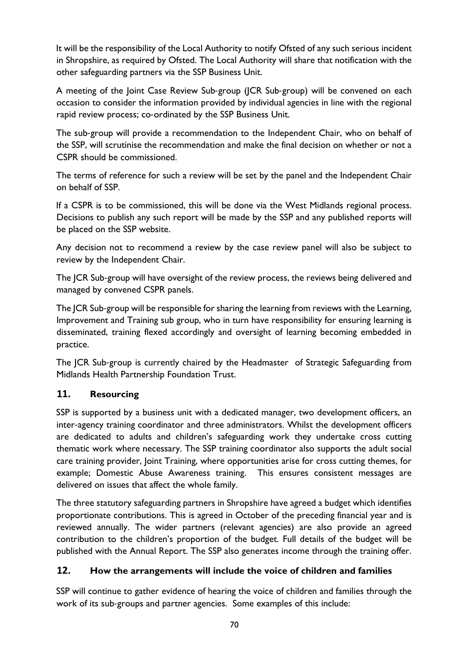It will be the responsibility of the Local Authority to notify Ofsted of any such serious incident in Shropshire, as required by Ofsted. The Local Authority will share that notification with the other safeguarding partners via the SSP Business Unit.

A meeting of the Joint Case Review Sub‐group (JCR Sub‐group) will be convened on each occasion to consider the information provided by individual agencies in line with the regional rapid review process; co-ordinated by the SSP Business Unit.

The sub‐group will provide a recommendation to the Independent Chair, who on behalf of the SSP, will scrutinise the recommendation and make the final decision on whether or not a CSPR should be commissioned.

The terms of reference for such a review will be set by the panel and the Independent Chair on behalf of SSP.

If a CSPR is to be commissioned, this will be done via the West Midlands regional process. Decisions to publish any such report will be made by the SSP and any published reports will be placed on the SSP website.

Any decision not to recommend a review by the case review panel will also be subject to review by the Independent Chair.

The JCR Sub-group will have oversight of the review process, the reviews being delivered and managed by convened CSPR panels.

The JCR Sub-group will be responsible for sharing the learning from reviews with the Learning, Improvement and Training sub group, who in turn have responsibility for ensuring learning is disseminated, training flexed accordingly and oversight of learning becoming embedded in practice.

The JCR Sub-group is currently chaired by the Headmaster of Strategic Safeguarding from Midlands Health Partnership Foundation Trust.

# **11. Resourcing**

SSP is supported by a business unit with a dedicated manager, two development officers, an inter-agency training coordinator and three administrators. Whilst the development officers are dedicated to adults and children's safeguarding work they undertake cross cutting thematic work where necessary. The SSP training coordinator also supports the adult social care training provider, Joint Training, where opportunities arise for cross cutting themes, for example; Domestic Abuse Awareness training. This ensures consistent messages are delivered on issues that affect the whole family.

The three statutory safeguarding partners in Shropshire have agreed a budget which identifies proportionate contributions. This is agreed in October of the preceding financial year and is reviewed annually. The wider partners (relevant agencies) are also provide an agreed contribution to the children's proportion of the budget. Full details of the budget will be published with the Annual Report. The SSP also generates income through the training offer.

# **12. How the arrangements will include the voice of children and families**

SSP will continue to gather evidence of hearing the voice of children and families through the work of its sub-groups and partner agencies. Some examples of this include: